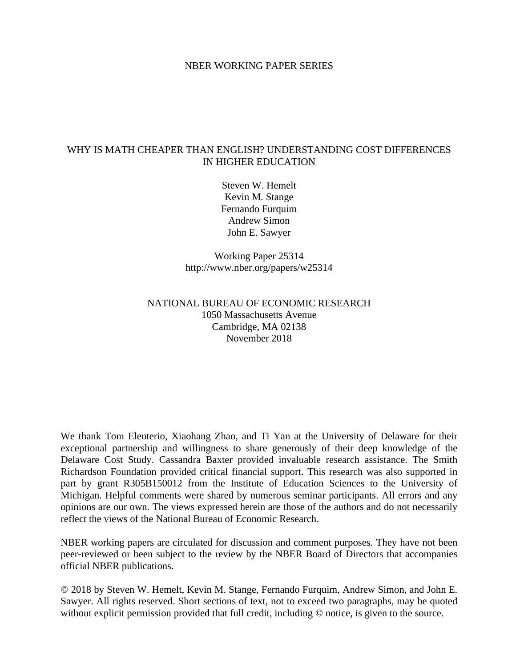## NBER WORKING PAPER SERIES

## WHY IS MATH CHEAPER THAN ENGLISH? UNDERSTANDING COST DIFFERENCES IN HIGHER EDUCATION

Steven W. Hemelt Kevin M. Stange Fernando Furquim Andrew Simon John E. Sawyer

Working Paper 25314 http://www.nber.org/papers/w25314

## NATIONAL BUREAU OF ECONOMIC RESEARCH 1050 Massachusetts Avenue Cambridge, MA 02138 November 2018

We thank Tom Eleuterio, Xiaohang Zhao, and Ti Yan at the University of Delaware for their exceptional partnership and willingness to share generously of their deep knowledge of the Delaware Cost Study. Cassandra Baxter provided invaluable research assistance. The Smith Richardson Foundation provided critical financial support. This research was also supported in part by grant R305B150012 from the Institute of Education Sciences to the University of Michigan. Helpful comments were shared by numerous seminar participants. All errors and any opinions are our own. The views expressed herein are those of the authors and do not necessarily reflect the views of the National Bureau of Economic Research.

NBER working papers are circulated for discussion and comment purposes. They have not been peer-reviewed or been subject to the review by the NBER Board of Directors that accompanies official NBER publications.

© 2018 by Steven W. Hemelt, Kevin M. Stange, Fernando Furquim, Andrew Simon, and John E. Sawyer. All rights reserved. Short sections of text, not to exceed two paragraphs, may be quoted without explicit permission provided that full credit, including  $\odot$  notice, is given to the source.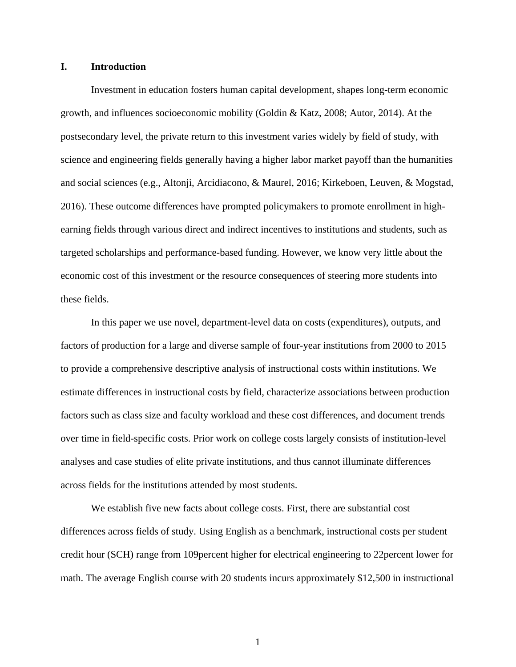### **I. Introduction**

Investment in education fosters human capital development, shapes long-term economic growth, and influences socioeconomic mobility (Goldin & Katz, 2008; Autor, 2014). At the postsecondary level, the private return to this investment varies widely by field of study, with science and engineering fields generally having a higher labor market payoff than the humanities and social sciences (e.g., Altonji, Arcidiacono, & Maurel, 2016; Kirkeboen, Leuven, & Mogstad, 2016). These outcome differences have prompted policymakers to promote enrollment in highearning fields through various direct and indirect incentives to institutions and students, such as targeted scholarships and performance-based funding. However, we know very little about the economic cost of this investment or the resource consequences of steering more students into these fields.

In this paper we use novel, department-level data on costs (expenditures), outputs, and factors of production for a large and diverse sample of four-year institutions from 2000 to 2015 to provide a comprehensive descriptive analysis of instructional costs within institutions. We estimate differences in instructional costs by field, characterize associations between production factors such as class size and faculty workload and these cost differences, and document trends over time in field-specific costs. Prior work on college costs largely consists of institution-level analyses and case studies of elite private institutions, and thus cannot illuminate differences across fields for the institutions attended by most students.

We establish five new facts about college costs. First, there are substantial cost differences across fields of study. Using English as a benchmark, instructional costs per student credit hour (SCH) range from 109percent higher for electrical engineering to 22percent lower for math. The average English course with 20 students incurs approximately \$12,500 in instructional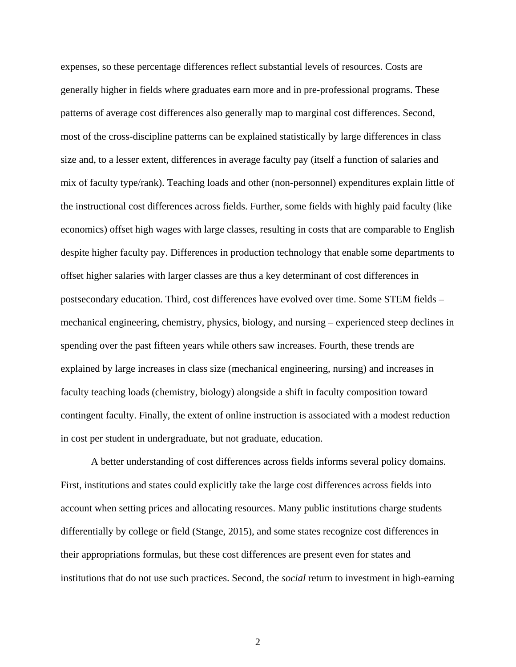expenses, so these percentage differences reflect substantial levels of resources. Costs are generally higher in fields where graduates earn more and in pre-professional programs. These patterns of average cost differences also generally map to marginal cost differences. Second, most of the cross-discipline patterns can be explained statistically by large differences in class size and, to a lesser extent, differences in average faculty pay (itself a function of salaries and mix of faculty type/rank). Teaching loads and other (non-personnel) expenditures explain little of the instructional cost differences across fields. Further, some fields with highly paid faculty (like economics) offset high wages with large classes, resulting in costs that are comparable to English despite higher faculty pay. Differences in production technology that enable some departments to offset higher salaries with larger classes are thus a key determinant of cost differences in postsecondary education. Third, cost differences have evolved over time. Some STEM fields – mechanical engineering, chemistry, physics, biology, and nursing – experienced steep declines in spending over the past fifteen years while others saw increases. Fourth, these trends are explained by large increases in class size (mechanical engineering, nursing) and increases in faculty teaching loads (chemistry, biology) alongside a shift in faculty composition toward contingent faculty. Finally, the extent of online instruction is associated with a modest reduction in cost per student in undergraduate, but not graduate, education.

A better understanding of cost differences across fields informs several policy domains. First, institutions and states could explicitly take the large cost differences across fields into account when setting prices and allocating resources. Many public institutions charge students differentially by college or field (Stange, 2015), and some states recognize cost differences in their appropriations formulas, but these cost differences are present even for states and institutions that do not use such practices. Second, the *social* return to investment in high-earning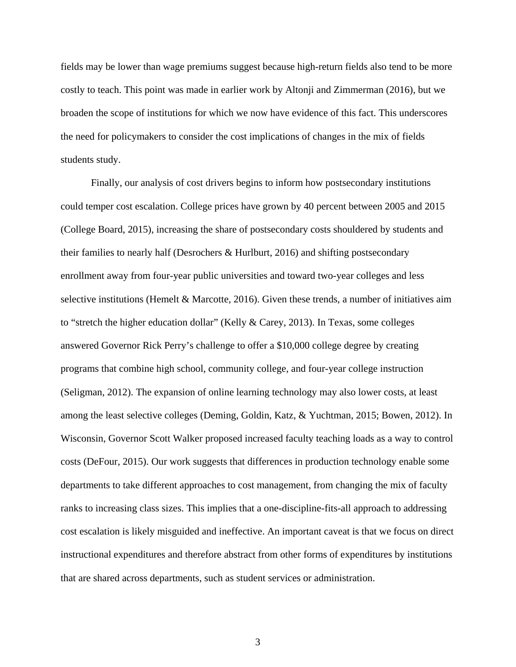fields may be lower than wage premiums suggest because high-return fields also tend to be more costly to teach. This point was made in earlier work by Altonji and Zimmerman (2016), but we broaden the scope of institutions for which we now have evidence of this fact. This underscores the need for policymakers to consider the cost implications of changes in the mix of fields students study.

Finally, our analysis of cost drivers begins to inform how postsecondary institutions could temper cost escalation. College prices have grown by 40 percent between 2005 and 2015 (College Board, 2015), increasing the share of postsecondary costs shouldered by students and their families to nearly half (Desrochers & Hurlburt, 2016) and shifting postsecondary enrollment away from four-year public universities and toward two-year colleges and less selective institutions (Hemelt & Marcotte, 2016). Given these trends, a number of initiatives aim to "stretch the higher education dollar" (Kelly & Carey, 2013). In Texas, some colleges answered Governor Rick Perry's challenge to offer a \$10,000 college degree by creating programs that combine high school, community college, and four-year college instruction (Seligman, 2012). The expansion of online learning technology may also lower costs, at least among the least selective colleges (Deming, Goldin, Katz, & Yuchtman, 2015; Bowen, 2012). In Wisconsin, Governor Scott Walker proposed increased faculty teaching loads as a way to control costs (DeFour, 2015). Our work suggests that differences in production technology enable some departments to take different approaches to cost management, from changing the mix of faculty ranks to increasing class sizes. This implies that a one-discipline-fits-all approach to addressing cost escalation is likely misguided and ineffective. An important caveat is that we focus on direct instructional expenditures and therefore abstract from other forms of expenditures by institutions that are shared across departments, such as student services or administration.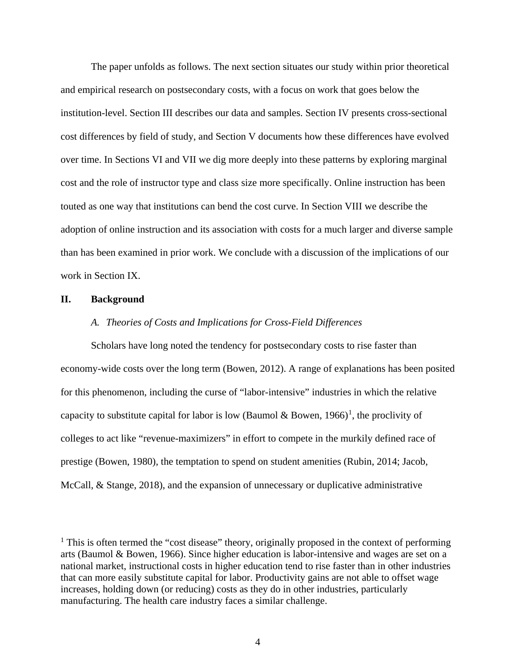The paper unfolds as follows. The next section situates our study within prior theoretical and empirical research on postsecondary costs, with a focus on work that goes below the institution-level. Section III describes our data and samples. Section IV presents cross-sectional cost differences by field of study, and Section V documents how these differences have evolved over time. In Sections VI and VII we dig more deeply into these patterns by exploring marginal cost and the role of instructor type and class size more specifically. Online instruction has been touted as one way that institutions can bend the cost curve. In Section VIII we describe the adoption of online instruction and its association with costs for a much larger and diverse sample than has been examined in prior work. We conclude with a discussion of the implications of our work in Section IX.

#### **II. Background**

### *A. Theories of Costs and Implications for Cross-Field Differences*

Scholars have long noted the tendency for postsecondary costs to rise faster than economy-wide costs over the long term (Bowen, 2012). A range of explanations has been posited for this phenomenon, including the curse of "labor-intensive" industries in which the relative capacity to substitute capital for labor is low (Baumol & Bowen,  $1966$  $1966$ )<sup>1</sup>, the proclivity of colleges to act like "revenue-maximizers" in effort to compete in the murkily defined race of prestige (Bowen, 1980), the temptation to spend on student amenities (Rubin, 2014; Jacob, McCall, & Stange, 2018), and the expansion of unnecessary or duplicative administrative

<span id="page-5-0"></span> $<sup>1</sup>$  This is often termed the "cost disease" theory, originally proposed in the context of performing</sup> arts (Baumol & Bowen, 1966). Since higher education is labor-intensive and wages are set on a national market, instructional costs in higher education tend to rise faster than in other industries that can more easily substitute capital for labor. Productivity gains are not able to offset wage increases, holding down (or reducing) costs as they do in other industries, particularly manufacturing. The health care industry faces a similar challenge.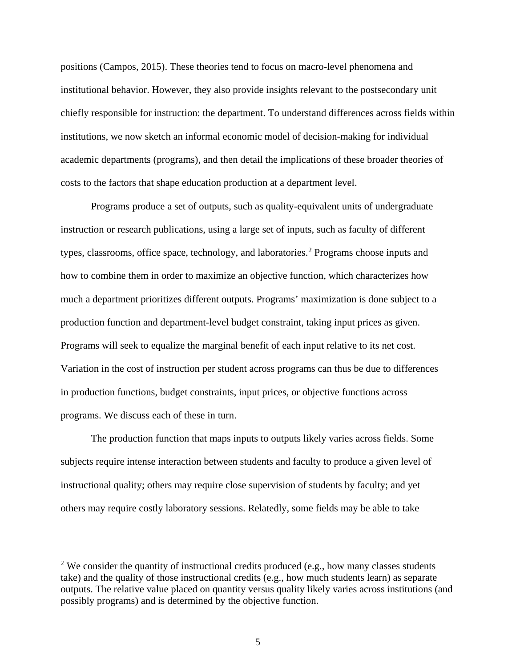positions (Campos, 2015). These theories tend to focus on macro-level phenomena and institutional behavior. However, they also provide insights relevant to the postsecondary unit chiefly responsible for instruction: the department. To understand differences across fields within institutions, we now sketch an informal economic model of decision-making for individual academic departments (programs), and then detail the implications of these broader theories of costs to the factors that shape education production at a department level.

 Programs produce a set of outputs, such as quality-equivalent units of undergraduate instruction or research publications, using a large set of inputs, such as faculty of different types, classrooms, office space, technology, and laboratories.<sup>[2](#page-6-0)</sup> Programs choose inputs and how to combine them in order to maximize an objective function, which characterizes how much a department prioritizes different outputs. Programs' maximization is done subject to a production function and department-level budget constraint, taking input prices as given. Programs will seek to equalize the marginal benefit of each input relative to its net cost. Variation in the cost of instruction per student across programs can thus be due to differences in production functions, budget constraints, input prices, or objective functions across programs. We discuss each of these in turn.

The production function that maps inputs to outputs likely varies across fields. Some subjects require intense interaction between students and faculty to produce a given level of instructional quality; others may require close supervision of students by faculty; and yet others may require costly laboratory sessions. Relatedly, some fields may be able to take

<span id="page-6-0"></span> $2$  We consider the quantity of instructional credits produced (e.g., how many classes students take) and the quality of those instructional credits (e.g., how much students learn) as separate outputs. The relative value placed on quantity versus quality likely varies across institutions (and possibly programs) and is determined by the objective function.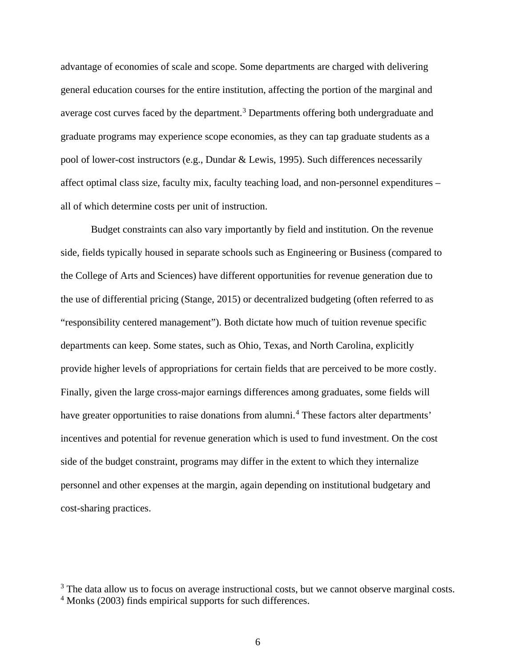advantage of economies of scale and scope. Some departments are charged with delivering general education courses for the entire institution, affecting the portion of the marginal and average cost curves faced by the department.<sup>[3](#page-7-0)</sup> Departments offering both undergraduate and graduate programs may experience scope economies, as they can tap graduate students as a pool of lower-cost instructors (e.g., Dundar & Lewis, 1995). Such differences necessarily affect optimal class size, faculty mix, faculty teaching load, and non-personnel expenditures – all of which determine costs per unit of instruction.

Budget constraints can also vary importantly by field and institution. On the revenue side, fields typically housed in separate schools such as Engineering or Business (compared to the College of Arts and Sciences) have different opportunities for revenue generation due to the use of differential pricing (Stange, 2015) or decentralized budgeting (often referred to as "responsibility centered management"). Both dictate how much of tuition revenue specific departments can keep. Some states, such as Ohio, Texas, and North Carolina, explicitly provide higher levels of appropriations for certain fields that are perceived to be more costly. Finally, given the large cross-major earnings differences among graduates, some fields will have greater opportunities to raise donations from alumni.<sup>[4](#page-7-1)</sup> These factors alter departments' incentives and potential for revenue generation which is used to fund investment. On the cost side of the budget constraint, programs may differ in the extent to which they internalize personnel and other expenses at the margin, again depending on institutional budgetary and cost-sharing practices.

<span id="page-7-0"></span> $3$  The data allow us to focus on average instructional costs, but we cannot observe marginal costs.

<span id="page-7-1"></span><sup>&</sup>lt;sup>4</sup> Monks (2003) finds empirical supports for such differences.

<sup>6</sup>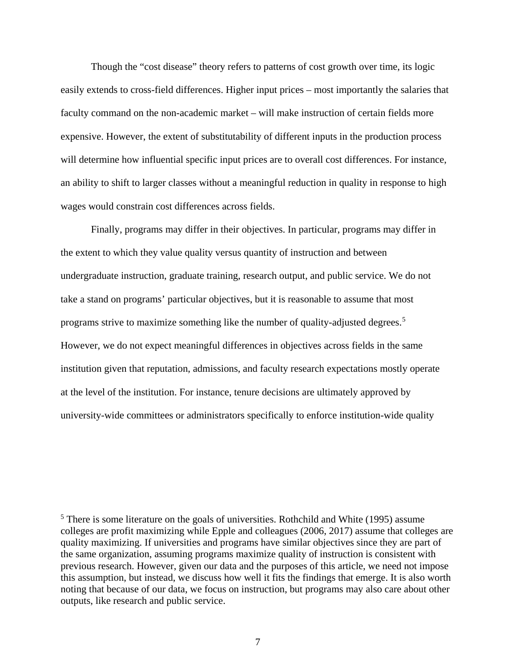Though the "cost disease" theory refers to patterns of cost growth over time, its logic easily extends to cross-field differences. Higher input prices – most importantly the salaries that faculty command on the non-academic market – will make instruction of certain fields more expensive. However, the extent of substitutability of different inputs in the production process will determine how influential specific input prices are to overall cost differences. For instance, an ability to shift to larger classes without a meaningful reduction in quality in response to high wages would constrain cost differences across fields.

Finally, programs may differ in their objectives. In particular, programs may differ in the extent to which they value quality versus quantity of instruction and between undergraduate instruction, graduate training, research output, and public service. We do not take a stand on programs' particular objectives, but it is reasonable to assume that most programs strive to maximize something like the number of quality-adjusted degrees.[5](#page-8-0) However, we do not expect meaningful differences in objectives across fields in the same institution given that reputation, admissions, and faculty research expectations mostly operate at the level of the institution. For instance, tenure decisions are ultimately approved by university-wide committees or administrators specifically to enforce institution-wide quality

<span id="page-8-0"></span><sup>5</sup> There is some literature on the goals of universities. Rothchild and White (1995) assume colleges are profit maximizing while Epple and colleagues (2006, 2017) assume that colleges are quality maximizing. If universities and programs have similar objectives since they are part of the same organization, assuming programs maximize quality of instruction is consistent with previous research. However, given our data and the purposes of this article, we need not impose this assumption, but instead, we discuss how well it fits the findings that emerge. It is also worth noting that because of our data, we focus on instruction, but programs may also care about other outputs, like research and public service.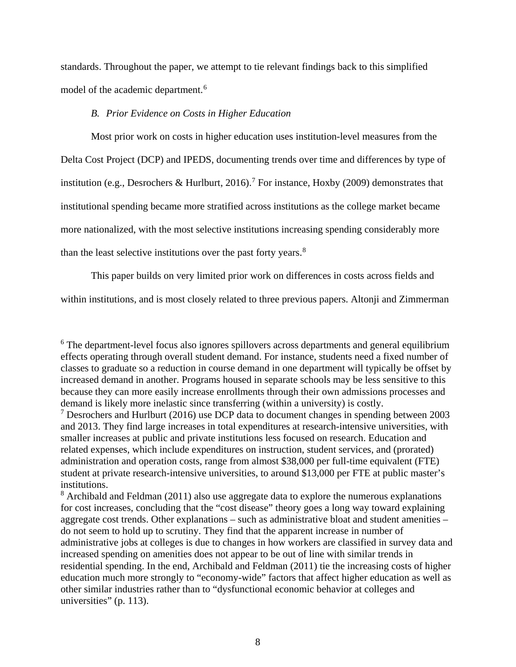standards. Throughout the paper, we attempt to tie relevant findings back to this simplified model of the academic department.<sup>[6](#page-9-0)</sup>

## *B. Prior Evidence on Costs in Higher Education*

Most prior work on costs in higher education uses institution-level measures from the Delta Cost Project (DCP) and IPEDS, documenting trends over time and differences by type of institution (e.g., Desrochers & Hurlburt, 2016).<sup>[7](#page-9-1)</sup> For instance, Hoxby (2009) demonstrates that institutional spending became more stratified across institutions as the college market became more nationalized, with the most selective institutions increasing spending considerably more than the least selective institutions over the past forty years. $8$ 

This paper builds on very limited prior work on differences in costs across fields and

within institutions, and is most closely related to three previous papers. Altonji and Zimmerman

<span id="page-9-2"></span> $8$  Archibald and Feldman (2011) also use aggregate data to explore the numerous explanations for cost increases, concluding that the "cost disease" theory goes a long way toward explaining aggregate cost trends. Other explanations – such as administrative bloat and student amenities – do not seem to hold up to scrutiny. They find that the apparent increase in number of administrative jobs at colleges is due to changes in how workers are classified in survey data and increased spending on amenities does not appear to be out of line with similar trends in residential spending. In the end, Archibald and Feldman (2011) tie the increasing costs of higher education much more strongly to "economy-wide" factors that affect higher education as well as other similar industries rather than to "dysfunctional economic behavior at colleges and universities" (p. 113).

<span id="page-9-0"></span><sup>&</sup>lt;sup>6</sup> The department-level focus also ignores spillovers across departments and general equilibrium effects operating through overall student demand. For instance, students need a fixed number of classes to graduate so a reduction in course demand in one department will typically be offset by increased demand in another. Programs housed in separate schools may be less sensitive to this because they can more easily increase enrollments through their own admissions processes and demand is likely more inelastic since transferring (within a university) is costly.

<span id="page-9-1"></span><sup>&</sup>lt;sup>7</sup> Desrochers and Hurlburt (2016) use DCP data to document changes in spending between 2003 and 2013. They find large increases in total expenditures at research-intensive universities, with smaller increases at public and private institutions less focused on research. Education and related expenses, which include expenditures on instruction, student services, and (prorated) administration and operation costs, range from almost \$38,000 per full-time equivalent (FTE) student at private research-intensive universities, to around \$13,000 per FTE at public master's institutions.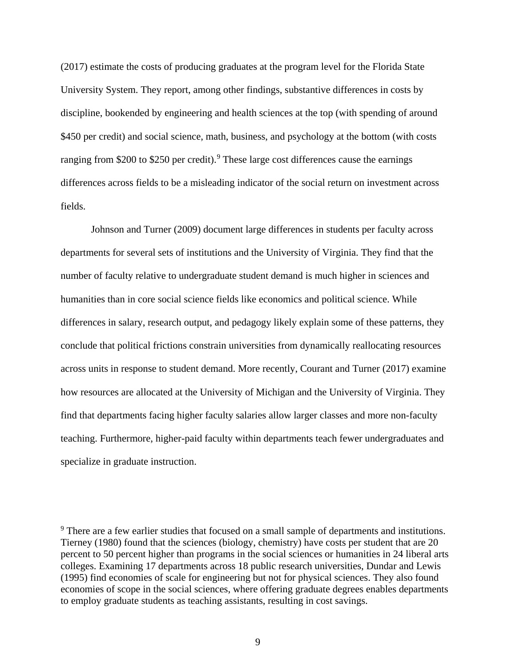(2017) estimate the costs of producing graduates at the program level for the Florida State University System. They report, among other findings, substantive differences in costs by discipline, bookended by engineering and health sciences at the top (with spending of around \$450 per credit) and social science, math, business, and psychology at the bottom (with costs ranging from \$200 to \$250 per credit).<sup>[9](#page-10-0)</sup> These large cost differences cause the earnings differences across fields to be a misleading indicator of the social return on investment across fields.

Johnson and Turner (2009) document large differences in students per faculty across departments for several sets of institutions and the University of Virginia. They find that the number of faculty relative to undergraduate student demand is much higher in sciences and humanities than in core social science fields like economics and political science. While differences in salary, research output, and pedagogy likely explain some of these patterns, they conclude that political frictions constrain universities from dynamically reallocating resources across units in response to student demand. More recently, Courant and Turner (2017) examine how resources are allocated at the University of Michigan and the University of Virginia. They find that departments facing higher faculty salaries allow larger classes and more non-faculty teaching. Furthermore, higher-paid faculty within departments teach fewer undergraduates and specialize in graduate instruction.

<span id="page-10-0"></span><sup>&</sup>lt;sup>9</sup> There are a few earlier studies that focused on a small sample of departments and institutions. Tierney (1980) found that the sciences (biology, chemistry) have costs per student that are 20 percent to 50 percent higher than programs in the social sciences or humanities in 24 liberal arts colleges. Examining 17 departments across 18 public research universities, Dundar and Lewis (1995) find economies of scale for engineering but not for physical sciences. They also found economies of scope in the social sciences, where offering graduate degrees enables departments to employ graduate students as teaching assistants, resulting in cost savings.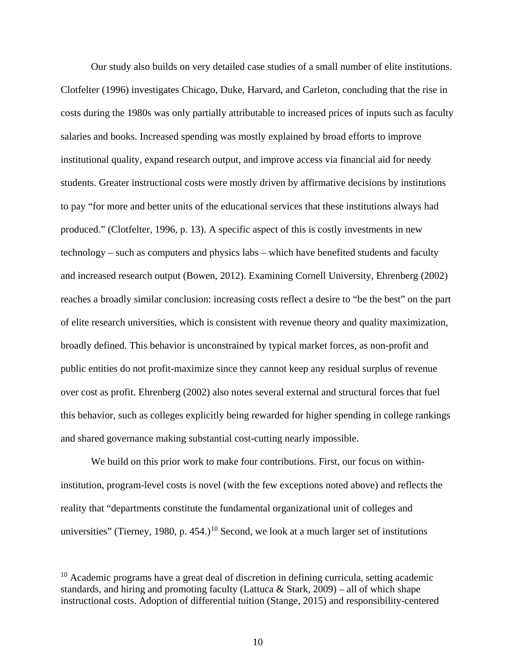Our study also builds on very detailed case studies of a small number of elite institutions. Clotfelter (1996) investigates Chicago, Duke, Harvard, and Carleton, concluding that the rise in costs during the 1980s was only partially attributable to increased prices of inputs such as faculty salaries and books. Increased spending was mostly explained by broad efforts to improve institutional quality, expand research output, and improve access via financial aid for needy students. Greater instructional costs were mostly driven by affirmative decisions by institutions to pay "for more and better units of the educational services that these institutions always had produced." (Clotfelter, 1996, p. 13). A specific aspect of this is costly investments in new technology – such as computers and physics labs – which have benefited students and faculty and increased research output (Bowen, 2012). Examining Cornell University, Ehrenberg (2002) reaches a broadly similar conclusion: increasing costs reflect a desire to "be the best" on the part of elite research universities, which is consistent with revenue theory and quality maximization, broadly defined. This behavior is unconstrained by typical market forces, as non-profit and public entities do not profit-maximize since they cannot keep any residual surplus of revenue over cost as profit. Ehrenberg (2002) also notes several external and structural forces that fuel this behavior, such as colleges explicitly being rewarded for higher spending in college rankings and shared governance making substantial cost-cutting nearly impossible.

We build on this prior work to make four contributions. First, our focus on withininstitution, program-level costs is novel (with the few exceptions noted above) and reflects the reality that "departments constitute the fundamental organizational unit of colleges and universities" (Tierney, 1980, p. 454.)<sup>10</sup> Second, we look at a much larger set of institutions

<span id="page-11-0"></span> $10$  Academic programs have a great deal of discretion in defining curricula, setting academic standards, and hiring and promoting faculty (Lattuca & Stark, 2009) – all of which shape instructional costs. Adoption of differential tuition (Stange, 2015) and responsibility-centered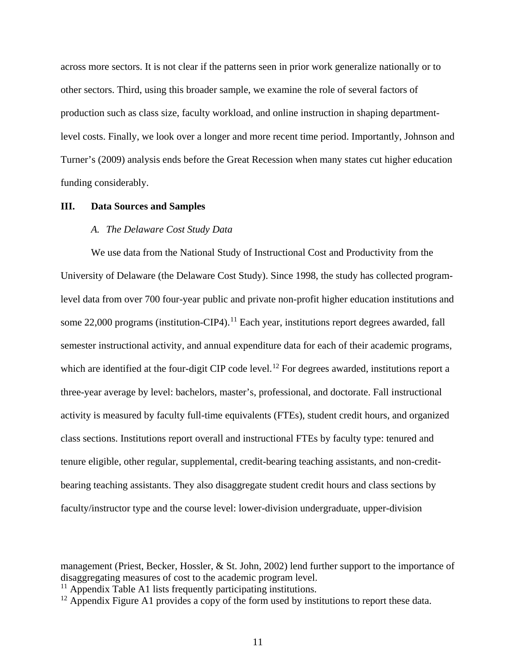across more sectors. It is not clear if the patterns seen in prior work generalize nationally or to other sectors. Third, using this broader sample, we examine the role of several factors of production such as class size, faculty workload, and online instruction in shaping departmentlevel costs. Finally, we look over a longer and more recent time period. Importantly, Johnson and Turner's (2009) analysis ends before the Great Recession when many states cut higher education funding considerably.

#### **III. Data Sources and Samples**

#### *A. The Delaware Cost Study Data*

We use data from the National Study of Instructional Cost and Productivity from the University of Delaware (the Delaware Cost Study). Since 1998, the study has collected programlevel data from over 700 four-year public and private non-profit higher education institutions and some 22,000 programs (institution-CIP4).<sup>11</sup> Each year, institutions report degrees awarded, fall semester instructional activity, and annual expenditure data for each of their academic programs, which are identified at the four-digit CIP code level.<sup>[12](#page-12-1)</sup> For degrees awarded, institutions report a three-year average by level: bachelors, master's, professional, and doctorate. Fall instructional activity is measured by faculty full-time equivalents (FTEs), student credit hours, and organized class sections. Institutions report overall and instructional FTEs by faculty type: tenured and tenure eligible, other regular, supplemental, credit-bearing teaching assistants, and non-creditbearing teaching assistants. They also disaggregate student credit hours and class sections by faculty/instructor type and the course level: lower-division undergraduate, upper-division

management (Priest, Becker, Hossler, & St. John, 2002) lend further support to the importance of disaggregating measures of cost to the academic program level.

<span id="page-12-0"></span> $11$  Appendix Table A1 lists frequently participating institutions.

<span id="page-12-1"></span><sup>&</sup>lt;sup>12</sup> Appendix Figure A1 provides a copy of the form used by institutions to report these data.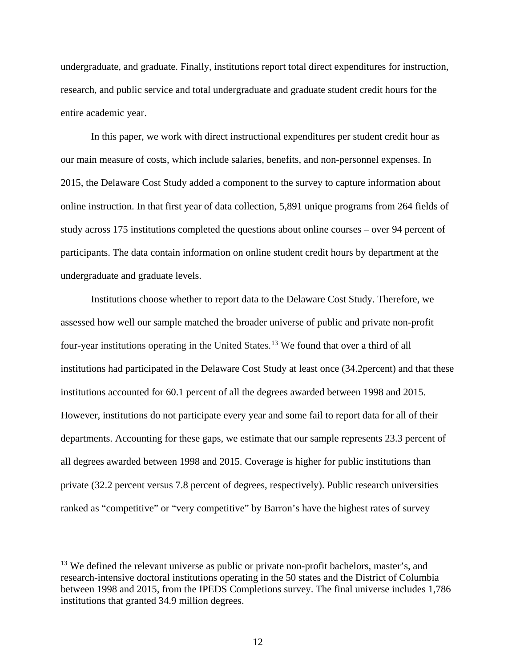undergraduate, and graduate. Finally, institutions report total direct expenditures for instruction, research, and public service and total undergraduate and graduate student credit hours for the entire academic year.

In this paper, we work with direct instructional expenditures per student credit hour as our main measure of costs, which include salaries, benefits, and non-personnel expenses. In 2015, the Delaware Cost Study added a component to the survey to capture information about online instruction. In that first year of data collection, 5,891 unique programs from 264 fields of study across 175 institutions completed the questions about online courses – over 94 percent of participants. The data contain information on online student credit hours by department at the undergraduate and graduate levels.

Institutions choose whether to report data to the Delaware Cost Study. Therefore, we assessed how well our sample matched the broader universe of public and private non-profit four-year institutions operating in the United States. [13](#page-13-0) We found that over a third of all institutions had participated in the Delaware Cost Study at least once (34.2percent) and that these institutions accounted for 60.1 percent of all the degrees awarded between 1998 and 2015. However, institutions do not participate every year and some fail to report data for all of their departments. Accounting for these gaps, we estimate that our sample represents 23.3 percent of all degrees awarded between 1998 and 2015. Coverage is higher for public institutions than private (32.2 percent versus 7.8 percent of degrees, respectively). Public research universities ranked as "competitive" or "very competitive" by Barron's have the highest rates of survey

<span id="page-13-0"></span><sup>&</sup>lt;sup>13</sup> We defined the relevant universe as public or private non-profit bachelors, master's, and research-intensive doctoral institutions operating in the 50 states and the District of Columbia between 1998 and 2015, from the IPEDS Completions survey. The final universe includes 1,786 institutions that granted 34.9 million degrees.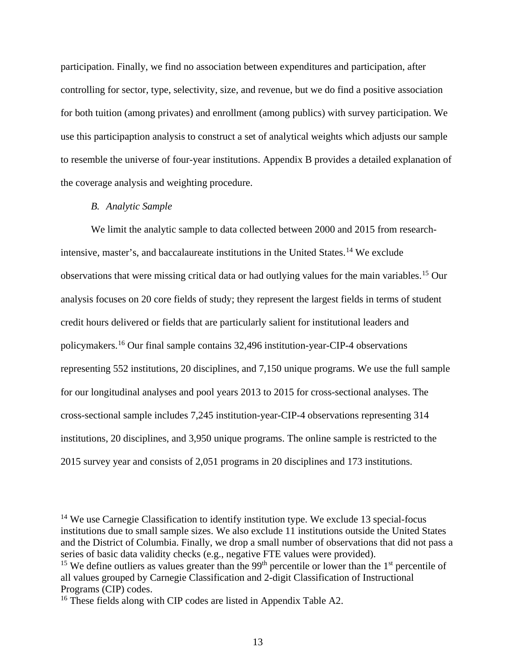participation. Finally, we find no association between expenditures and participation, after controlling for sector, type, selectivity, size, and revenue, but we do find a positive association for both tuition (among privates) and enrollment (among publics) with survey participation. We use this participaption analysis to construct a set of analytical weights which adjusts our sample to resemble the universe of four-year institutions. Appendix B provides a detailed explanation of the coverage analysis and weighting procedure.

### *B. Analytic Sample*

We limit the analytic sample to data collected between 2000 and 2015 from research-intensive, master's, and baccalaureate institutions in the United States.<sup>[14](#page-14-0)</sup> We exclude observations that were missing critical data or had outlying values for the main variables.[15](#page-14-1) Our analysis focuses on 20 core fields of study; they represent the largest fields in terms of student credit hours delivered or fields that are particularly salient for institutional leaders and policymakers.[16](#page-14-2) Our final sample contains 32,496 institution-year-CIP-4 observations representing 552 institutions, 20 disciplines, and 7,150 unique programs. We use the full sample for our longitudinal analyses and pool years 2013 to 2015 for cross-sectional analyses. The cross-sectional sample includes 7,245 institution-year-CIP-4 observations representing 314 institutions, 20 disciplines, and 3,950 unique programs. The online sample is restricted to the 2015 survey year and consists of 2,051 programs in 20 disciplines and 173 institutions.

<span id="page-14-0"></span><sup>14</sup> We use Carnegie Classification to identify institution type. We exclude 13 special-focus institutions due to small sample sizes. We also exclude 11 institutions outside the United States and the District of Columbia. Finally, we drop a small number of observations that did not pass a series of basic data validity checks (e.g., negative FTE values were provided). <sup>15</sup> We define outliers as values greater than the 99<sup>th</sup> percentile or lower than the 1<sup>st</sup> percentile of all values grouped by Carnegie Classification and 2-digit Classification of Instructional

<span id="page-14-1"></span>Programs (CIP) codes.

<span id="page-14-2"></span><sup>&</sup>lt;sup>16</sup> These fields along with CIP codes are listed in Appendix Table A2.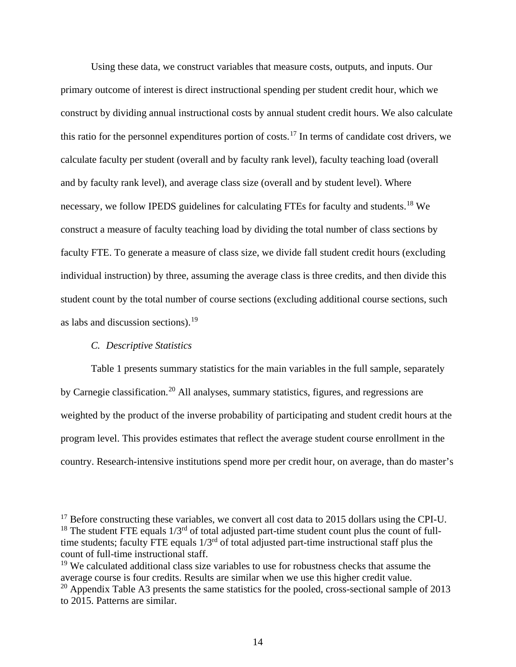Using these data, we construct variables that measure costs, outputs, and inputs. Our primary outcome of interest is direct instructional spending per student credit hour, which we construct by dividing annual instructional costs by annual student credit hours. We also calculate this ratio for the personnel expenditures portion of costs.<sup>[17](#page-15-0)</sup> In terms of candidate cost drivers, we calculate faculty per student (overall and by faculty rank level), faculty teaching load (overall and by faculty rank level), and average class size (overall and by student level). Where necessary, we follow IPEDS guidelines for calculating FTEs for faculty and students.<sup>[18](#page-15-1)</sup> We construct a measure of faculty teaching load by dividing the total number of class sections by faculty FTE. To generate a measure of class size, we divide fall student credit hours (excluding individual instruction) by three, assuming the average class is three credits, and then divide this student count by the total number of course sections (excluding additional course sections, such as labs and discussion sections). $19$ 

#### *C. Descriptive Statistics*

Table 1 presents summary statistics for the main variables in the full sample, separately by Carnegie classification.<sup>[20](#page-15-3)</sup> All analyses, summary statistics, figures, and regressions are weighted by the product of the inverse probability of participating and student credit hours at the program level. This provides estimates that reflect the average student course enrollment in the country. Research-intensive institutions spend more per credit hour, on average, than do master's

<span id="page-15-1"></span><span id="page-15-0"></span> $17$  Before constructing these variables, we convert all cost data to 2015 dollars using the CPI-U.  $18$  The student FTE equals  $1/3<sup>rd</sup>$  of total adjusted part-time student count plus the count of fulltime students; faculty FTE equals  $1/3^{rd}$  of total adjusted part-time instructional staff plus the count of full-time instructional staff.

<span id="page-15-2"></span><sup>&</sup>lt;sup>19</sup> We calculated additional class size variables to use for robustness checks that assume the average course is four credits. Results are similar when we use this higher credit value.

<span id="page-15-3"></span> $20$  Appendix Table A3 presents the same statistics for the pooled, cross-sectional sample of 2013 to 2015. Patterns are similar.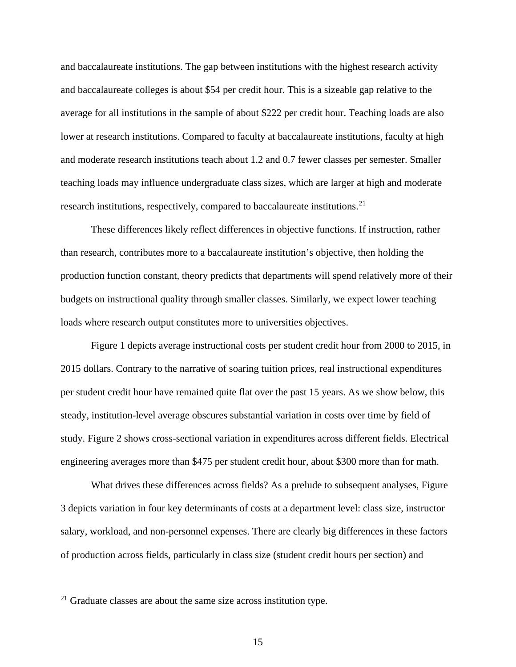and baccalaureate institutions. The gap between institutions with the highest research activity and baccalaureate colleges is about \$54 per credit hour. This is a sizeable gap relative to the average for all institutions in the sample of about \$222 per credit hour. Teaching loads are also lower at research institutions. Compared to faculty at baccalaureate institutions, faculty at high and moderate research institutions teach about 1.2 and 0.7 fewer classes per semester. Smaller teaching loads may influence undergraduate class sizes, which are larger at high and moderate research institutions, respectively, compared to baccalaureate institutions.<sup>[21](#page-16-0)</sup>

These differences likely reflect differences in objective functions. If instruction, rather than research, contributes more to a baccalaureate institution's objective, then holding the production function constant, theory predicts that departments will spend relatively more of their budgets on instructional quality through smaller classes. Similarly, we expect lower teaching loads where research output constitutes more to universities objectives.

Figure 1 depicts average instructional costs per student credit hour from 2000 to 2015, in 2015 dollars. Contrary to the narrative of soaring tuition prices, real instructional expenditures per student credit hour have remained quite flat over the past 15 years. As we show below, this steady, institution-level average obscures substantial variation in costs over time by field of study. Figure 2 shows cross-sectional variation in expenditures across different fields. Electrical engineering averages more than \$475 per student credit hour, about \$300 more than for math.

What drives these differences across fields? As a prelude to subsequent analyses, Figure 3 depicts variation in four key determinants of costs at a department level: class size, instructor salary, workload, and non-personnel expenses. There are clearly big differences in these factors of production across fields, particularly in class size (student credit hours per section) and

<span id="page-16-0"></span> $21$  Graduate classes are about the same size across institution type.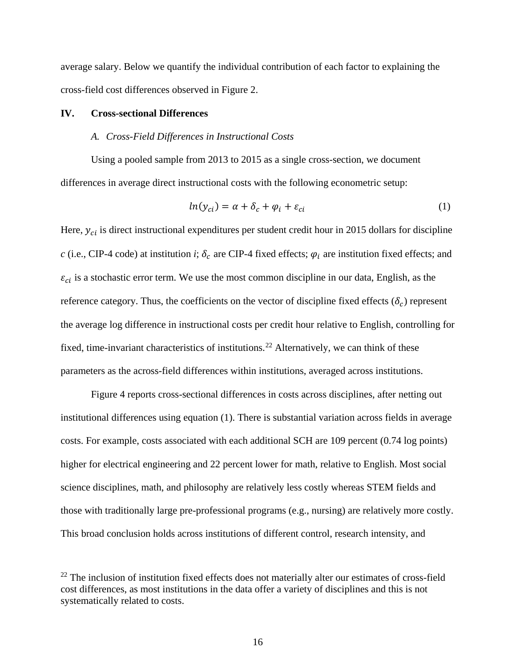average salary. Below we quantify the individual contribution of each factor to explaining the cross-field cost differences observed in Figure 2.

#### **IV. Cross-sectional Differences**

#### *A. Cross-Field Differences in Instructional Costs*

Using a pooled sample from 2013 to 2015 as a single cross-section, we document differences in average direct instructional costs with the following econometric setup:

$$
ln(y_{ci}) = \alpha + \delta_c + \varphi_i + \varepsilon_{ci}
$$
 (1)

Here,  $y_{ci}$  is direct instructional expenditures per student credit hour in 2015 dollars for discipline *c* (i.e., CIP-4 code) at institution *i*;  $\delta_c$  are CIP-4 fixed effects;  $\varphi_i$  are institution fixed effects; and  $\varepsilon_{ci}$  is a stochastic error term. We use the most common discipline in our data, English, as the reference category. Thus, the coefficients on the vector of discipline fixed effects  $(\delta_c)$  represent the average log difference in instructional costs per credit hour relative to English, controlling for fixed, time-invariant characteristics of institutions.<sup>[22](#page-17-0)</sup> Alternatively, we can think of these parameters as the across-field differences within institutions, averaged across institutions.

Figure 4 reports cross-sectional differences in costs across disciplines, after netting out institutional differences using equation (1). There is substantial variation across fields in average costs. For example, costs associated with each additional SCH are 109 percent (0.74 log points) higher for electrical engineering and 22 percent lower for math, relative to English. Most social science disciplines, math, and philosophy are relatively less costly whereas STEM fields and those with traditionally large pre-professional programs (e.g., nursing) are relatively more costly. This broad conclusion holds across institutions of different control, research intensity, and

<span id="page-17-0"></span> $22$  The inclusion of institution fixed effects does not materially alter our estimates of cross-field cost differences, as most institutions in the data offer a variety of disciplines and this is not systematically related to costs.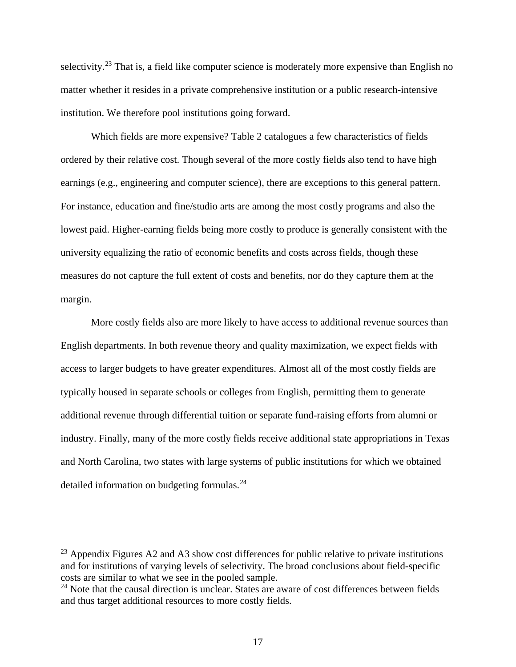selectivity.<sup>[23](#page-18-0)</sup> That is, a field like computer science is moderately more expensive than English no matter whether it resides in a private comprehensive institution or a public research-intensive institution. We therefore pool institutions going forward.

Which fields are more expensive? Table 2 catalogues a few characteristics of fields ordered by their relative cost. Though several of the more costly fields also tend to have high earnings (e.g., engineering and computer science), there are exceptions to this general pattern. For instance, education and fine/studio arts are among the most costly programs and also the lowest paid. Higher-earning fields being more costly to produce is generally consistent with the university equalizing the ratio of economic benefits and costs across fields, though these measures do not capture the full extent of costs and benefits, nor do they capture them at the margin.

More costly fields also are more likely to have access to additional revenue sources than English departments. In both revenue theory and quality maximization, we expect fields with access to larger budgets to have greater expenditures. Almost all of the most costly fields are typically housed in separate schools or colleges from English, permitting them to generate additional revenue through differential tuition or separate fund-raising efforts from alumni or industry. Finally, many of the more costly fields receive additional state appropriations in Texas and North Carolina, two states with large systems of public institutions for which we obtained detailed information on budgeting formulas.[24](#page-18-1)

<span id="page-18-0"></span> $^{23}$  Appendix Figures A2 and A3 show cost differences for public relative to private institutions and for institutions of varying levels of selectivity. The broad conclusions about field-specific costs are similar to what we see in the pooled sample.

<span id="page-18-1"></span> $24$  Note that the causal direction is unclear. States are aware of cost differences between fields and thus target additional resources to more costly fields.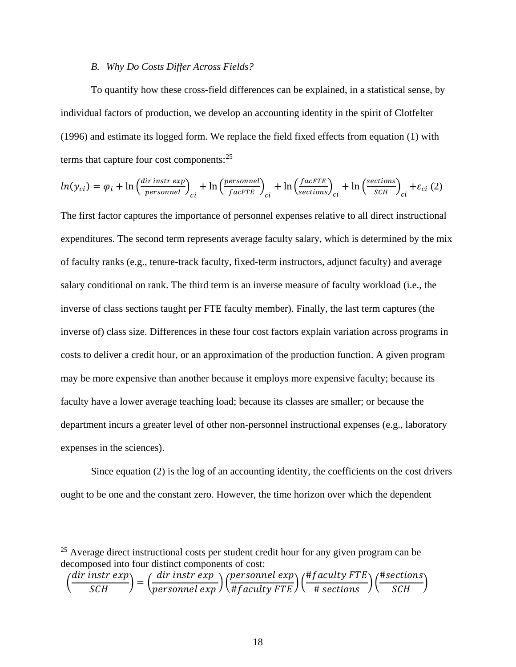### *B. Why Do Costs Differ Across Fields?*

To quantify how these cross-field differences can be explained, in a statistical sense, by individual factors of production, we develop an accounting identity in the spirit of Clotfelter (1996) and estimate its logged form. We replace the field fixed effects from equation (1) with terms that capture four cost components:  $2<sup>5</sup>$ 

$$
ln(y_{ci}) = \varphi_i + ln\left(\frac{dir\text{ instr}\exp}{personnel}\right)_{ci} + ln\left(\frac{personnel}{facFTE}\right)_{ci} + ln\left(\frac{facFTE}{sections}\right)_{ci} + ln\left(\frac{sections}{sCH}\right)_{ci} + \varepsilon_{ci} (2)
$$

The first factor captures the importance of personnel expenses relative to all direct instructional expenditures. The second term represents average faculty salary, which is determined by the mix of faculty ranks (e.g., tenure-track faculty, fixed-term instructors, adjunct faculty) and average salary conditional on rank. The third term is an inverse measure of faculty workload (i.e., the inverse of class sections taught per FTE faculty member). Finally, the last term captures (the inverse of) class size. Differences in these four cost factors explain variation across programs in costs to deliver a credit hour, or an approximation of the production function. A given program may be more expensive than another because it employs more expensive faculty; because its faculty have a lower average teaching load; because its classes are smaller; or because the department incurs a greater level of other non-personnel instructional expenses (e.g., laboratory expenses in the sciences).

Since equation (2) is the log of an accounting identity, the coefficients on the cost drivers ought to be one and the constant zero. However, the time horizon over which the dependent

$$
\left(\frac{dir\ instr\ exp}{SCH}\right) = \left(\frac{dir\ instr\ exp}{personnel\ exp}\right)\left(\frac{personnel\ exp}{\# faculty\ FTE}\right)\left(\frac{\#faculty\ FTE}{\# sections}\right)\left(\frac{\#sections}{SCH}\right)
$$

<span id="page-19-0"></span> $25$  Average direct instructional costs per student credit hour for any given program can be decomposed into four distinct components of cost: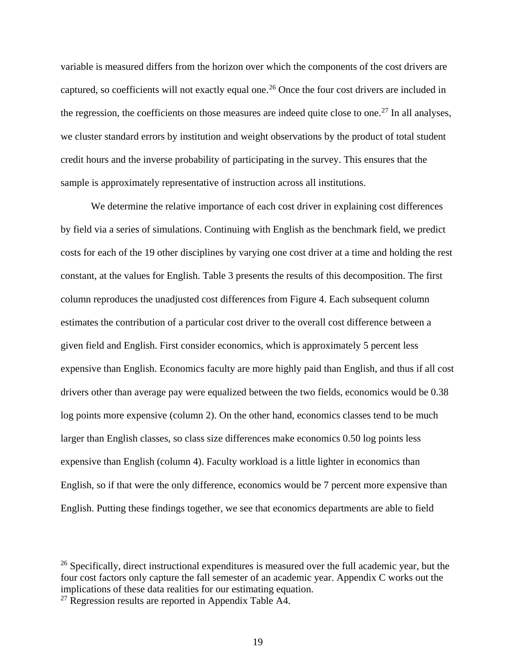variable is measured differs from the horizon over which the components of the cost drivers are captured, so coefficients will not exactly equal one.<sup>[26](#page-20-0)</sup> Once the four cost drivers are included in the regression, the coefficients on those measures are indeed quite close to one.<sup>[27](#page-20-1)</sup> In all analyses, we cluster standard errors by institution and weight observations by the product of total student credit hours and the inverse probability of participating in the survey. This ensures that the sample is approximately representative of instruction across all institutions.

We determine the relative importance of each cost driver in explaining cost differences by field via a series of simulations. Continuing with English as the benchmark field, we predict costs for each of the 19 other disciplines by varying one cost driver at a time and holding the rest constant, at the values for English. Table 3 presents the results of this decomposition. The first column reproduces the unadjusted cost differences from Figure 4. Each subsequent column estimates the contribution of a particular cost driver to the overall cost difference between a given field and English. First consider economics, which is approximately 5 percent less expensive than English. Economics faculty are more highly paid than English, and thus if all cost drivers other than average pay were equalized between the two fields, economics would be 0.38 log points more expensive (column 2). On the other hand, economics classes tend to be much larger than English classes, so class size differences make economics 0.50 log points less expensive than English (column 4). Faculty workload is a little lighter in economics than English, so if that were the only difference, economics would be 7 percent more expensive than English. Putting these findings together, we see that economics departments are able to field

<span id="page-20-0"></span><sup>&</sup>lt;sup>26</sup> Specifically, direct instructional expenditures is measured over the full academic year, but the four cost factors only capture the fall semester of an academic year. Appendix C works out the implications of these data realities for our estimating equation.

<span id="page-20-1"></span> $^{27}$  Regression results are reported in Appendix Table A4.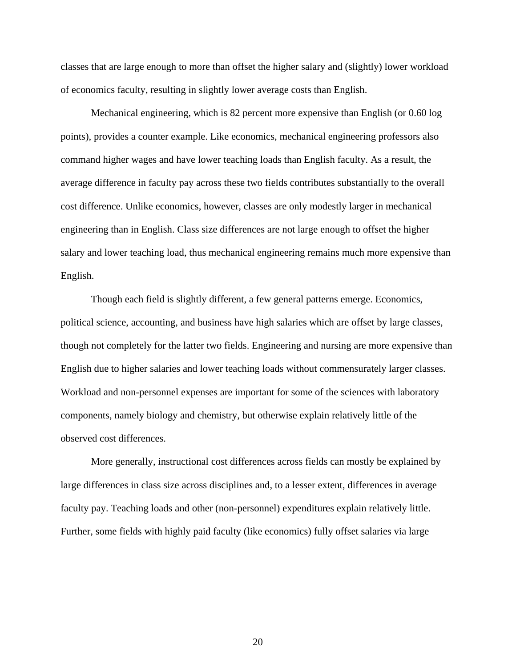classes that are large enough to more than offset the higher salary and (slightly) lower workload of economics faculty, resulting in slightly lower average costs than English.

Mechanical engineering, which is 82 percent more expensive than English (or 0.60 log points), provides a counter example. Like economics, mechanical engineering professors also command higher wages and have lower teaching loads than English faculty. As a result, the average difference in faculty pay across these two fields contributes substantially to the overall cost difference. Unlike economics, however, classes are only modestly larger in mechanical engineering than in English. Class size differences are not large enough to offset the higher salary and lower teaching load, thus mechanical engineering remains much more expensive than English.

 Though each field is slightly different, a few general patterns emerge. Economics, political science, accounting, and business have high salaries which are offset by large classes, though not completely for the latter two fields. Engineering and nursing are more expensive than English due to higher salaries and lower teaching loads without commensurately larger classes. Workload and non-personnel expenses are important for some of the sciences with laboratory components, namely biology and chemistry, but otherwise explain relatively little of the observed cost differences.

More generally, instructional cost differences across fields can mostly be explained by large differences in class size across disciplines and, to a lesser extent, differences in average faculty pay. Teaching loads and other (non-personnel) expenditures explain relatively little. Further, some fields with highly paid faculty (like economics) fully offset salaries via large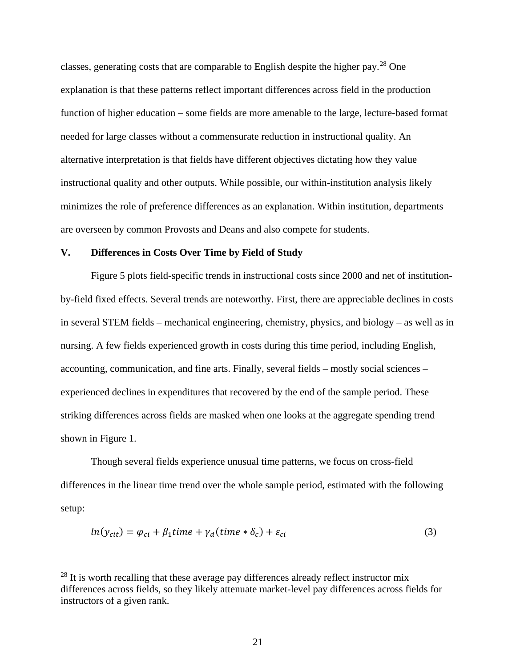classes, generating costs that are comparable to English despite the higher pay.[28](#page-22-0) One explanation is that these patterns reflect important differences across field in the production function of higher education – some fields are more amenable to the large, lecture-based format needed for large classes without a commensurate reduction in instructional quality. An alternative interpretation is that fields have different objectives dictating how they value instructional quality and other outputs. While possible, our within-institution analysis likely minimizes the role of preference differences as an explanation. Within institution, departments are overseen by common Provosts and Deans and also compete for students.

### **V. Differences in Costs Over Time by Field of Study**

Figure 5 plots field-specific trends in instructional costs since 2000 and net of institutionby-field fixed effects. Several trends are noteworthy. First, there are appreciable declines in costs in several STEM fields – mechanical engineering, chemistry, physics, and biology – as well as in nursing. A few fields experienced growth in costs during this time period, including English, accounting, communication, and fine arts. Finally, several fields – mostly social sciences – experienced declines in expenditures that recovered by the end of the sample period. These striking differences across fields are masked when one looks at the aggregate spending trend shown in Figure 1.

Though several fields experience unusual time patterns, we focus on cross-field differences in the linear time trend over the whole sample period, estimated with the following setup:

$$
ln(y_{cit}) = \varphi_{ci} + \beta_1 time + \gamma_d (time * \delta_c) + \varepsilon_{ci}
$$
\n(3)

<span id="page-22-0"></span> $^{28}$  It is worth recalling that these average pay differences already reflect instructor mix differences across fields, so they likely attenuate market-level pay differences across fields for instructors of a given rank.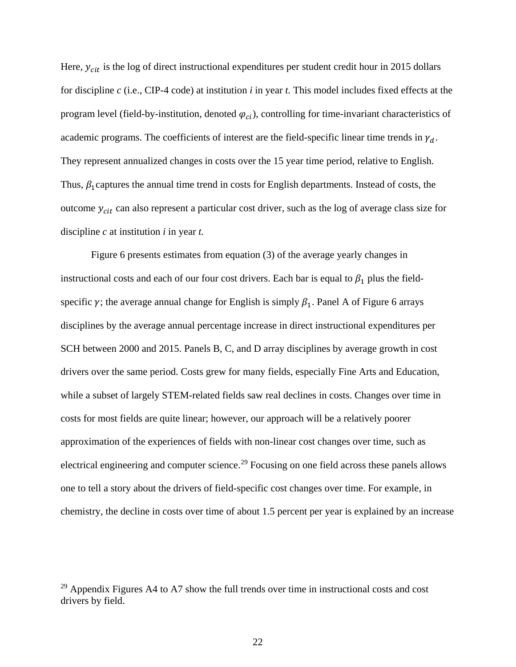Here,  $y_{cit}$  is the log of direct instructional expenditures per student credit hour in 2015 dollars for discipline *c* (i.e., CIP-4 code) at institution *i* in year *t.* This model includes fixed effects at the program level (field-by-institution, denoted  $\varphi_{ci}$ ), controlling for time-invariant characteristics of academic programs. The coefficients of interest are the field-specific linear time trends in  $\gamma_d$ . They represent annualized changes in costs over the 15 year time period, relative to English. Thus,  $\beta_1$  captures the annual time trend in costs for English departments. Instead of costs, the outcome  $y_{cit}$  can also represent a particular cost driver, such as the log of average class size for discipline *c* at institution *i* in year *t.*

Figure 6 presents estimates from equation (3) of the average yearly changes in instructional costs and each of our four cost drivers. Each bar is equal to  $\beta_1$  plus the fieldspecific  $\gamma$ ; the average annual change for English is simply  $\beta_1$ . Panel A of Figure 6 arrays disciplines by the average annual percentage increase in direct instructional expenditures per SCH between 2000 and 2015. Panels B, C, and D array disciplines by average growth in cost drivers over the same period. Costs grew for many fields, especially Fine Arts and Education, while a subset of largely STEM-related fields saw real declines in costs. Changes over time in costs for most fields are quite linear; however, our approach will be a relatively poorer approximation of the experiences of fields with non-linear cost changes over time, such as electrical engineering and computer science.<sup>[29](#page-23-0)</sup> Focusing on one field across these panels allows one to tell a story about the drivers of field-specific cost changes over time. For example, in chemistry, the decline in costs over time of about 1.5 percent per year is explained by an increase

<span id="page-23-0"></span> $29$  Appendix Figures A4 to A7 show the full trends over time in instructional costs and cost drivers by field.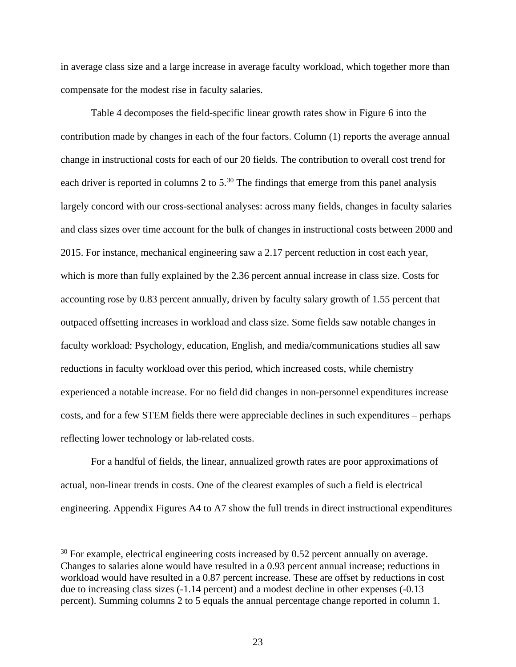in average class size and a large increase in average faculty workload, which together more than compensate for the modest rise in faculty salaries.

Table 4 decomposes the field-specific linear growth rates show in Figure 6 into the contribution made by changes in each of the four factors. Column (1) reports the average annual change in instructional costs for each of our 20 fields. The contribution to overall cost trend for each driver is reported in columns 2 to  $5<sup>30</sup>$  $5<sup>30</sup>$  $5<sup>30</sup>$ . The findings that emerge from this panel analysis largely concord with our cross-sectional analyses: across many fields, changes in faculty salaries and class sizes over time account for the bulk of changes in instructional costs between 2000 and 2015. For instance, mechanical engineering saw a 2.17 percent reduction in cost each year, which is more than fully explained by the 2.36 percent annual increase in class size. Costs for accounting rose by 0.83 percent annually, driven by faculty salary growth of 1.55 percent that outpaced offsetting increases in workload and class size. Some fields saw notable changes in faculty workload: Psychology, education, English, and media/communications studies all saw reductions in faculty workload over this period, which increased costs, while chemistry experienced a notable increase. For no field did changes in non-personnel expenditures increase costs, and for a few STEM fields there were appreciable declines in such expenditures – perhaps reflecting lower technology or lab-related costs.

 For a handful of fields, the linear, annualized growth rates are poor approximations of actual, non-linear trends in costs. One of the clearest examples of such a field is electrical engineering. Appendix Figures A4 to A7 show the full trends in direct instructional expenditures

<span id="page-24-0"></span> $30$  For example, electrical engineering costs increased by 0.52 percent annually on average. Changes to salaries alone would have resulted in a 0.93 percent annual increase; reductions in workload would have resulted in a 0.87 percent increase. These are offset by reductions in cost due to increasing class sizes (-1.14 percent) and a modest decline in other expenses (-0.13 percent). Summing columns 2 to 5 equals the annual percentage change reported in column 1.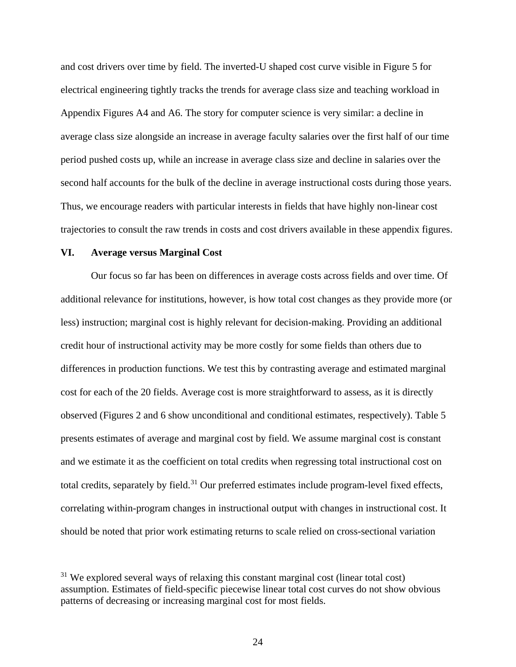and cost drivers over time by field. The inverted-U shaped cost curve visible in Figure 5 for electrical engineering tightly tracks the trends for average class size and teaching workload in Appendix Figures A4 and A6. The story for computer science is very similar: a decline in average class size alongside an increase in average faculty salaries over the first half of our time period pushed costs up, while an increase in average class size and decline in salaries over the second half accounts for the bulk of the decline in average instructional costs during those years. Thus, we encourage readers with particular interests in fields that have highly non-linear cost trajectories to consult the raw trends in costs and cost drivers available in these appendix figures.

### **VI. Average versus Marginal Cost**

Our focus so far has been on differences in average costs across fields and over time. Of additional relevance for institutions, however, is how total cost changes as they provide more (or less) instruction; marginal cost is highly relevant for decision-making. Providing an additional credit hour of instructional activity may be more costly for some fields than others due to differences in production functions. We test this by contrasting average and estimated marginal cost for each of the 20 fields. Average cost is more straightforward to assess, as it is directly observed (Figures 2 and 6 show unconditional and conditional estimates, respectively). Table 5 presents estimates of average and marginal cost by field. We assume marginal cost is constant and we estimate it as the coefficient on total credits when regressing total instructional cost on total credits, separately by field.<sup>[31](#page-25-0)</sup> Our preferred estimates include program-level fixed effects, correlating within-program changes in instructional output with changes in instructional cost. It should be noted that prior work estimating returns to scale relied on cross-sectional variation

<span id="page-25-0"></span> $31$  We explored several ways of relaxing this constant marginal cost (linear total cost) assumption. Estimates of field-specific piecewise linear total cost curves do not show obvious patterns of decreasing or increasing marginal cost for most fields.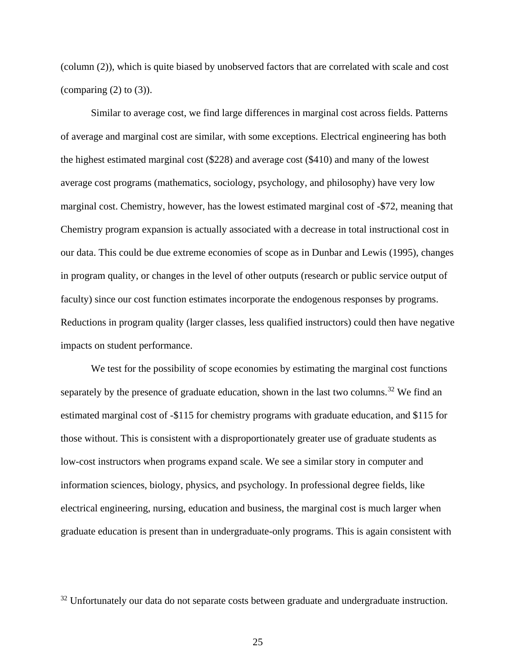(column (2)), which is quite biased by unobserved factors that are correlated with scale and cost (comparing  $(2)$  to  $(3)$ ).

Similar to average cost, we find large differences in marginal cost across fields. Patterns of average and marginal cost are similar, with some exceptions. Electrical engineering has both the highest estimated marginal cost (\$228) and average cost (\$410) and many of the lowest average cost programs (mathematics, sociology, psychology, and philosophy) have very low marginal cost. Chemistry, however, has the lowest estimated marginal cost of -\$72, meaning that Chemistry program expansion is actually associated with a decrease in total instructional cost in our data. This could be due extreme economies of scope as in Dunbar and Lewis (1995), changes in program quality, or changes in the level of other outputs (research or public service output of faculty) since our cost function estimates incorporate the endogenous responses by programs. Reductions in program quality (larger classes, less qualified instructors) could then have negative impacts on student performance.

We test for the possibility of scope economies by estimating the marginal cost functions separately by the presence of graduate education, shown in the last two columns.<sup>[32](#page-26-0)</sup> We find an estimated marginal cost of -\$115 for chemistry programs with graduate education, and \$115 for those without. This is consistent with a disproportionately greater use of graduate students as low-cost instructors when programs expand scale. We see a similar story in computer and information sciences, biology, physics, and psychology. In professional degree fields, like electrical engineering, nursing, education and business, the marginal cost is much larger when graduate education is present than in undergraduate-only programs. This is again consistent with

<span id="page-26-0"></span> $32$  Unfortunately our data do not separate costs between graduate and undergraduate instruction.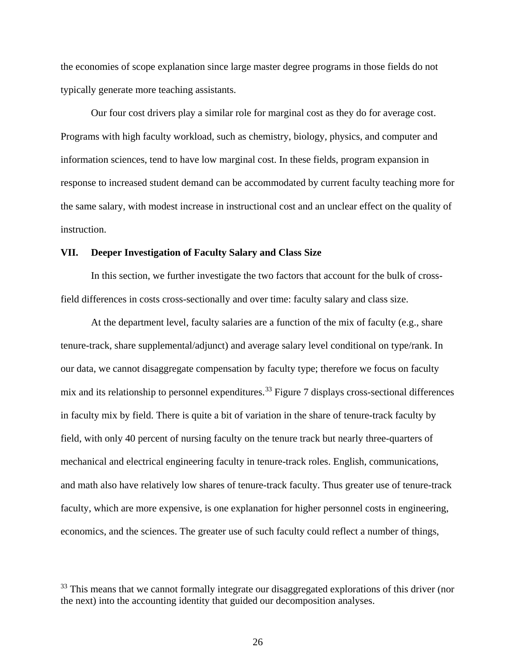the economies of scope explanation since large master degree programs in those fields do not typically generate more teaching assistants.

Our four cost drivers play a similar role for marginal cost as they do for average cost. Programs with high faculty workload, such as chemistry, biology, physics, and computer and information sciences, tend to have low marginal cost. In these fields, program expansion in response to increased student demand can be accommodated by current faculty teaching more for the same salary, with modest increase in instructional cost and an unclear effect on the quality of instruction.

#### **VII. Deeper Investigation of Faculty Salary and Class Size**

In this section, we further investigate the two factors that account for the bulk of crossfield differences in costs cross-sectionally and over time: faculty salary and class size.

At the department level, faculty salaries are a function of the mix of faculty (e.g., share tenure-track, share supplemental/adjunct) and average salary level conditional on type/rank. In our data, we cannot disaggregate compensation by faculty type; therefore we focus on faculty mix and its relationship to personnel expenditures.<sup>33</sup> Figure 7 displays cross-sectional differences in faculty mix by field. There is quite a bit of variation in the share of tenure-track faculty by field, with only 40 percent of nursing faculty on the tenure track but nearly three-quarters of mechanical and electrical engineering faculty in tenure-track roles. English, communications, and math also have relatively low shares of tenure-track faculty. Thus greater use of tenure-track faculty, which are more expensive, is one explanation for higher personnel costs in engineering, economics, and the sciences. The greater use of such faculty could reflect a number of things,

<span id="page-27-0"></span><sup>&</sup>lt;sup>33</sup> This means that we cannot formally integrate our disaggregated explorations of this driver (nor the next) into the accounting identity that guided our decomposition analyses.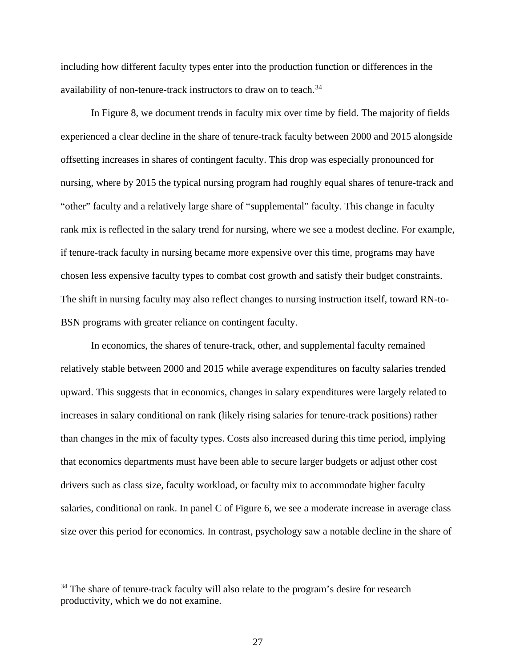including how different faculty types enter into the production function or differences in the availability of non-tenure-track instructors to draw on to teach.<sup>[34](#page-28-0)</sup>

In Figure 8, we document trends in faculty mix over time by field. The majority of fields experienced a clear decline in the share of tenure-track faculty between 2000 and 2015 alongside offsetting increases in shares of contingent faculty. This drop was especially pronounced for nursing, where by 2015 the typical nursing program had roughly equal shares of tenure-track and "other" faculty and a relatively large share of "supplemental" faculty. This change in faculty rank mix is reflected in the salary trend for nursing, where we see a modest decline. For example, if tenure-track faculty in nursing became more expensive over this time, programs may have chosen less expensive faculty types to combat cost growth and satisfy their budget constraints. The shift in nursing faculty may also reflect changes to nursing instruction itself, toward RN-to-BSN programs with greater reliance on contingent faculty.

In economics, the shares of tenure-track, other, and supplemental faculty remained relatively stable between 2000 and 2015 while average expenditures on faculty salaries trended upward. This suggests that in economics, changes in salary expenditures were largely related to increases in salary conditional on rank (likely rising salaries for tenure-track positions) rather than changes in the mix of faculty types. Costs also increased during this time period, implying that economics departments must have been able to secure larger budgets or adjust other cost drivers such as class size, faculty workload, or faculty mix to accommodate higher faculty salaries, conditional on rank. In panel C of Figure 6, we see a moderate increase in average class size over this period for economics. In contrast, psychology saw a notable decline in the share of

<span id="page-28-0"></span><sup>&</sup>lt;sup>34</sup> The share of tenure-track faculty will also relate to the program's desire for research productivity, which we do not examine.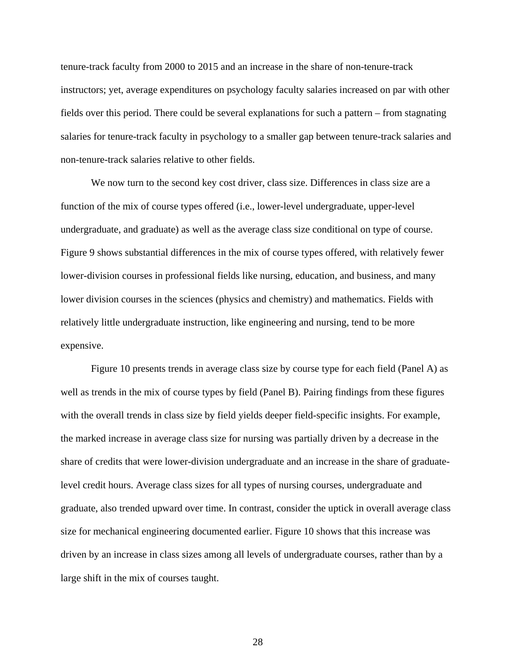tenure-track faculty from 2000 to 2015 and an increase in the share of non-tenure-track instructors; yet, average expenditures on psychology faculty salaries increased on par with other fields over this period. There could be several explanations for such a pattern – from stagnating salaries for tenure-track faculty in psychology to a smaller gap between tenure-track salaries and non-tenure-track salaries relative to other fields.

We now turn to the second key cost driver, class size. Differences in class size are a function of the mix of course types offered (i.e., lower-level undergraduate, upper-level undergraduate, and graduate) as well as the average class size conditional on type of course. Figure 9 shows substantial differences in the mix of course types offered, with relatively fewer lower-division courses in professional fields like nursing, education, and business, and many lower division courses in the sciences (physics and chemistry) and mathematics. Fields with relatively little undergraduate instruction, like engineering and nursing, tend to be more expensive.

Figure 10 presents trends in average class size by course type for each field (Panel A) as well as trends in the mix of course types by field (Panel B). Pairing findings from these figures with the overall trends in class size by field yields deeper field-specific insights. For example, the marked increase in average class size for nursing was partially driven by a decrease in the share of credits that were lower-division undergraduate and an increase in the share of graduatelevel credit hours. Average class sizes for all types of nursing courses, undergraduate and graduate, also trended upward over time. In contrast, consider the uptick in overall average class size for mechanical engineering documented earlier. Figure 10 shows that this increase was driven by an increase in class sizes among all levels of undergraduate courses, rather than by a large shift in the mix of courses taught.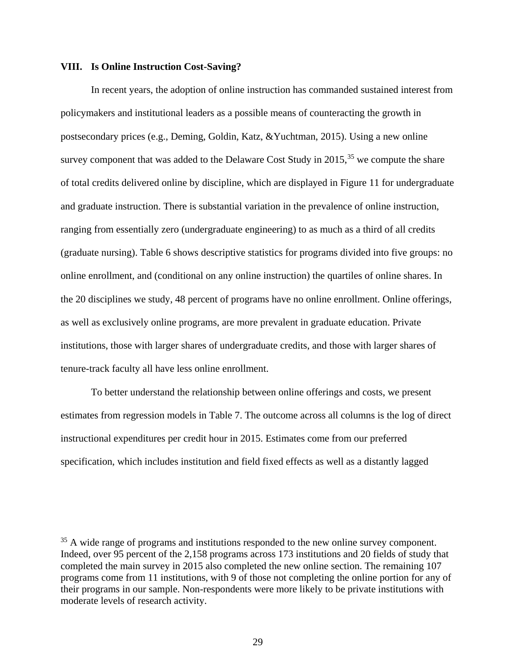#### **VIII. Is Online Instruction Cost-Saving?**

In recent years, the adoption of online instruction has commanded sustained interest from policymakers and institutional leaders as a possible means of counteracting the growth in postsecondary prices (e.g., Deming, Goldin, Katz, &Yuchtman, 2015). Using a new online survey component that was added to the Delaware Cost Study in  $2015$ ,  $35$  we compute the share of total credits delivered online by discipline, which are displayed in Figure 11 for undergraduate and graduate instruction. There is substantial variation in the prevalence of online instruction, ranging from essentially zero (undergraduate engineering) to as much as a third of all credits (graduate nursing). Table 6 shows descriptive statistics for programs divided into five groups: no online enrollment, and (conditional on any online instruction) the quartiles of online shares. In the 20 disciplines we study, 48 percent of programs have no online enrollment. Online offerings, as well as exclusively online programs, are more prevalent in graduate education. Private institutions, those with larger shares of undergraduate credits, and those with larger shares of tenure-track faculty all have less online enrollment.

To better understand the relationship between online offerings and costs, we present estimates from regression models in Table 7. The outcome across all columns is the log of direct instructional expenditures per credit hour in 2015. Estimates come from our preferred specification, which includes institution and field fixed effects as well as a distantly lagged

<span id="page-30-0"></span><sup>&</sup>lt;sup>35</sup> A wide range of programs and institutions responded to the new online survey component. Indeed, over 95 percent of the 2,158 programs across 173 institutions and 20 fields of study that completed the main survey in 2015 also completed the new online section. The remaining 107 programs come from 11 institutions, with 9 of those not completing the online portion for any of their programs in our sample. Non-respondents were more likely to be private institutions with moderate levels of research activity.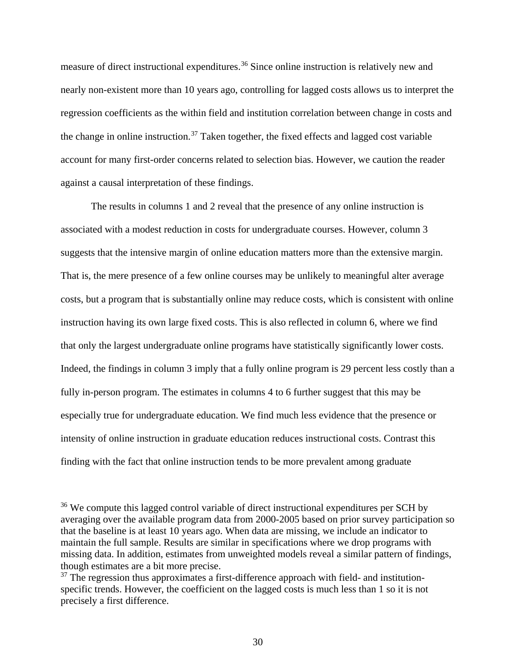measure of direct instructional expenditures.<sup>[36](#page-31-0)</sup> Since online instruction is relatively new and nearly non-existent more than 10 years ago, controlling for lagged costs allows us to interpret the regression coefficients as the within field and institution correlation between change in costs and the change in online instruction.<sup>[37](#page-31-1)</sup> Taken together, the fixed effects and lagged cost variable account for many first-order concerns related to selection bias. However, we caution the reader against a causal interpretation of these findings.

The results in columns 1 and 2 reveal that the presence of any online instruction is associated with a modest reduction in costs for undergraduate courses. However, column 3 suggests that the intensive margin of online education matters more than the extensive margin. That is, the mere presence of a few online courses may be unlikely to meaningful alter average costs, but a program that is substantially online may reduce costs, which is consistent with online instruction having its own large fixed costs. This is also reflected in column 6, where we find that only the largest undergraduate online programs have statistically significantly lower costs. Indeed, the findings in column 3 imply that a fully online program is 29 percent less costly than a fully in-person program. The estimates in columns 4 to 6 further suggest that this may be especially true for undergraduate education. We find much less evidence that the presence or intensity of online instruction in graduate education reduces instructional costs. Contrast this finding with the fact that online instruction tends to be more prevalent among graduate

<span id="page-31-0"></span><sup>&</sup>lt;sup>36</sup> We compute this lagged control variable of direct instructional expenditures per SCH by averaging over the available program data from 2000-2005 based on prior survey participation so that the baseline is at least 10 years ago. When data are missing, we include an indicator to maintain the full sample. Results are similar in specifications where we drop programs with missing data. In addition, estimates from unweighted models reveal a similar pattern of findings, though estimates are a bit more precise.

<span id="page-31-1"></span> $37$  The regression thus approximates a first-difference approach with field- and institutionspecific trends. However, the coefficient on the lagged costs is much less than 1 so it is not precisely a first difference.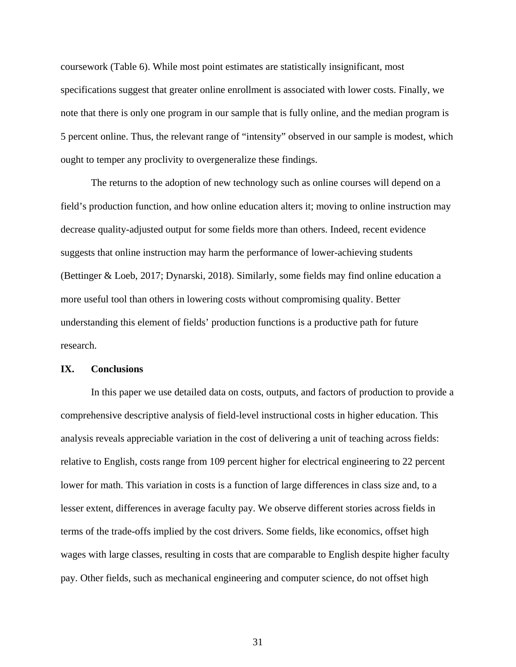coursework (Table 6). While most point estimates are statistically insignificant, most specifications suggest that greater online enrollment is associated with lower costs. Finally, we note that there is only one program in our sample that is fully online, and the median program is 5 percent online. Thus, the relevant range of "intensity" observed in our sample is modest, which ought to temper any proclivity to overgeneralize these findings.

The returns to the adoption of new technology such as online courses will depend on a field's production function, and how online education alters it; moving to online instruction may decrease quality-adjusted output for some fields more than others. Indeed, recent evidence suggests that online instruction may harm the performance of lower-achieving students (Bettinger & Loeb, 2017; Dynarski, 2018). Similarly, some fields may find online education a more useful tool than others in lowering costs without compromising quality. Better understanding this element of fields' production functions is a productive path for future research.

#### **IX. Conclusions**

In this paper we use detailed data on costs, outputs, and factors of production to provide a comprehensive descriptive analysis of field-level instructional costs in higher education. This analysis reveals appreciable variation in the cost of delivering a unit of teaching across fields: relative to English, costs range from 109 percent higher for electrical engineering to 22 percent lower for math. This variation in costs is a function of large differences in class size and, to a lesser extent, differences in average faculty pay. We observe different stories across fields in terms of the trade-offs implied by the cost drivers. Some fields, like economics, offset high wages with large classes, resulting in costs that are comparable to English despite higher faculty pay. Other fields, such as mechanical engineering and computer science, do not offset high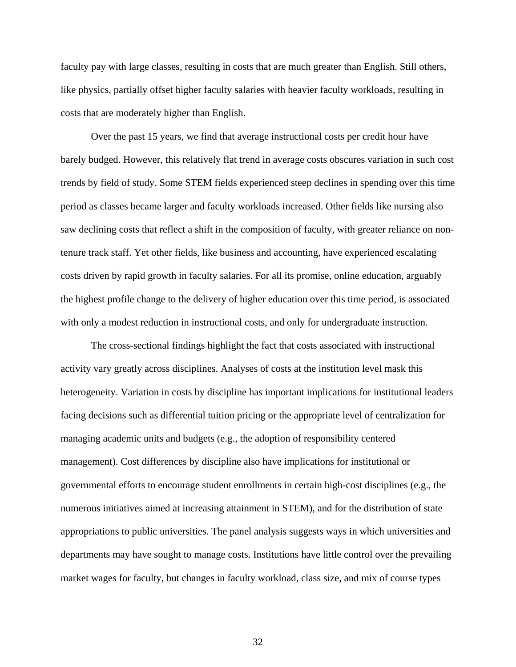faculty pay with large classes, resulting in costs that are much greater than English. Still others, like physics, partially offset higher faculty salaries with heavier faculty workloads, resulting in costs that are moderately higher than English.

 Over the past 15 years, we find that average instructional costs per credit hour have barely budged. However, this relatively flat trend in average costs obscures variation in such cost trends by field of study. Some STEM fields experienced steep declines in spending over this time period as classes became larger and faculty workloads increased. Other fields like nursing also saw declining costs that reflect a shift in the composition of faculty, with greater reliance on nontenure track staff. Yet other fields, like business and accounting, have experienced escalating costs driven by rapid growth in faculty salaries. For all its promise, online education, arguably the highest profile change to the delivery of higher education over this time period, is associated with only a modest reduction in instructional costs, and only for undergraduate instruction.

The cross-sectional findings highlight the fact that costs associated with instructional activity vary greatly across disciplines. Analyses of costs at the institution level mask this heterogeneity. Variation in costs by discipline has important implications for institutional leaders facing decisions such as differential tuition pricing or the appropriate level of centralization for managing academic units and budgets (e.g., the adoption of responsibility centered management). Cost differences by discipline also have implications for institutional or governmental efforts to encourage student enrollments in certain high-cost disciplines (e.g., the numerous initiatives aimed at increasing attainment in STEM), and for the distribution of state appropriations to public universities. The panel analysis suggests ways in which universities and departments may have sought to manage costs. Institutions have little control over the prevailing market wages for faculty, but changes in faculty workload, class size, and mix of course types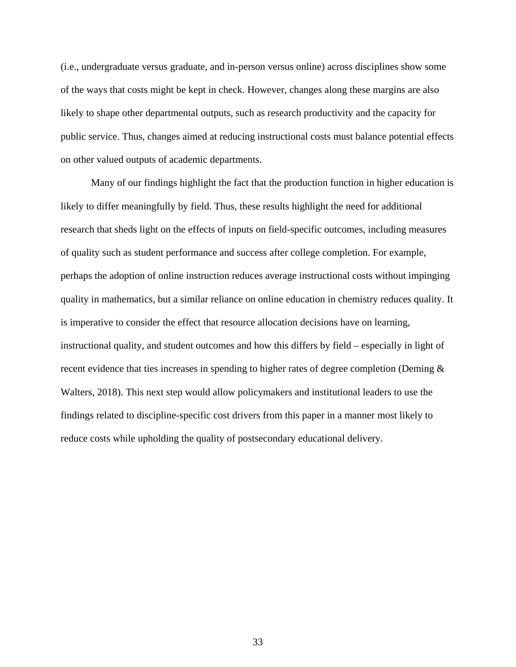(i.e., undergraduate versus graduate, and in-person versus online) across disciplines show some of the ways that costs might be kept in check. However, changes along these margins are also likely to shape other departmental outputs, such as research productivity and the capacity for public service. Thus, changes aimed at reducing instructional costs must balance potential effects on other valued outputs of academic departments.

Many of our findings highlight the fact that the production function in higher education is likely to differ meaningfully by field. Thus, these results highlight the need for additional research that sheds light on the effects of inputs on field-specific outcomes, including measures of quality such as student performance and success after college completion. For example, perhaps the adoption of online instruction reduces average instructional costs without impinging quality in mathematics, but a similar reliance on online education in chemistry reduces quality. It is imperative to consider the effect that resource allocation decisions have on learning, instructional quality, and student outcomes and how this differs by field – especially in light of recent evidence that ties increases in spending to higher rates of degree completion (Deming  $\&$ Walters, 2018). This next step would allow policymakers and institutional leaders to use the findings related to discipline-specific cost drivers from this paper in a manner most likely to reduce costs while upholding the quality of postsecondary educational delivery.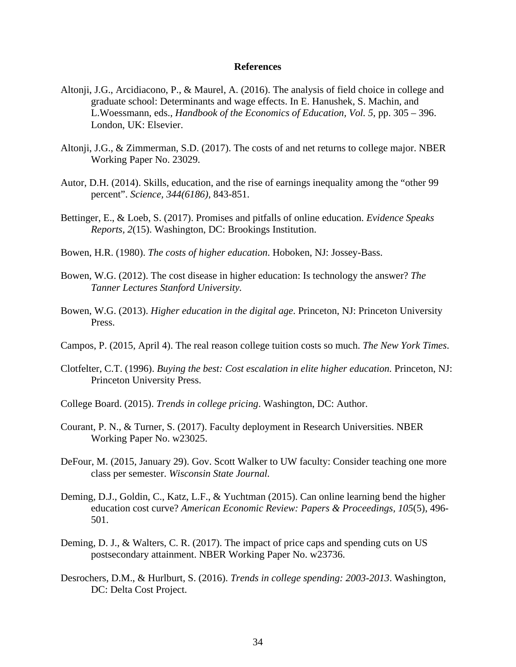#### **References**

- Altonji, J.G., Arcidiacono, P., & Maurel, A. (2016). The analysis of field choice in college and graduate school: Determinants and wage effects. In E. Hanushek, S. Machin, and L.Woessmann, eds., *Handbook of the Economics of Education, Vol. 5*, pp. 305 – 396. London, UK: Elsevier.
- Altonji, J.G., & Zimmerman, S.D. (2017). The costs of and net returns to college major. NBER Working Paper No. 23029.
- Autor, D.H. (2014). Skills, education, and the rise of earnings inequality among the "other 99 percent". *Science, 344(6186),* 843-851.
- Bettinger, E., & Loeb, S. (2017). Promises and pitfalls of online education. *Evidence Speaks Reports, 2*(15). Washington, DC: Brookings Institution.
- Bowen, H.R. (1980). *The costs of higher education*. Hoboken, NJ: Jossey-Bass.
- Bowen, W.G. (2012). The cost disease in higher education: Is technology the answer? *The Tanner Lectures Stanford University.*
- Bowen, W.G. (2013). *Higher education in the digital age*. Princeton, NJ: Princeton University Press.
- Campos, P. (2015, April 4). The real reason college tuition costs so much. *The New York Times*.
- Clotfelter, C.T. (1996). *Buying the best: Cost escalation in elite higher education.* Princeton, NJ: Princeton University Press.
- College Board. (2015). *Trends in college pricing*. Washington, DC: Author.
- Courant, P. N., & Turner, S. (2017). Faculty deployment in Research Universities. NBER Working Paper No. w23025.
- DeFour, M. (2015, January 29). Gov. Scott Walker to UW faculty: Consider teaching one more class per semester. *Wisconsin State Journal.*
- Deming, D.J., Goldin, C., Katz, L.F., & Yuchtman (2015). Can online learning bend the higher education cost curve? *American Economic Review: Papers & Proceedings, 105*(5), 496- 501.
- Deming, D. J., & Walters, C. R. (2017). The impact of price caps and spending cuts on US postsecondary attainment. NBER Working Paper No. w23736.
- Desrochers, D.M., & Hurlburt, S. (2016). *Trends in college spending: 2003-2013*. Washington, DC: Delta Cost Project.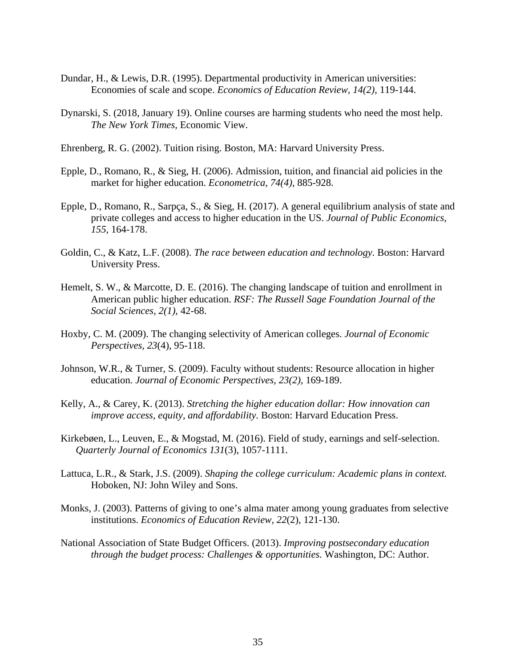- Dundar, H., & Lewis, D.R. (1995). Departmental productivity in American universities: Economies of scale and scope. *Economics of Education Review, 14(2),* 119-144.
- Dynarski, S. (2018, January 19). Online courses are harming students who need the most help. *The New York Times,* Economic View.
- Ehrenberg, R. G. (2002). Tuition rising. Boston, MA: Harvard University Press.
- Epple, D., Romano, R., & Sieg, H. (2006). Admission, tuition, and financial aid policies in the market for higher education. *Econometrica, 74(4),* 885-928.
- Epple, D., Romano, R., Sarpça, S., & Sieg, H. (2017). A general equilibrium analysis of state and private colleges and access to higher education in the US. *Journal of Public Economics, 155,* 164-178.
- Goldin, C., & Katz, L.F. (2008). *The race between education and technology.* Boston: Harvard University Press.
- Hemelt, S. W., & Marcotte, D. E. (2016). The changing landscape of tuition and enrollment in American public higher education. *RSF: The Russell Sage Foundation Journal of the Social Sciences, 2(1),* 42-68.
- Hoxby, C. M. (2009). The changing selectivity of American colleges. *Journal of Economic Perspectives, 23*(4), 95-118.
- Johnson, W.R., & Turner, S. (2009). Faculty without students: Resource allocation in higher education. *Journal of Economic Perspectives, 23(2),* 169-189.
- Kelly, A., & Carey, K. (2013). *Stretching the higher education dollar: How innovation can improve access, equity, and affordability.* Boston: Harvard Education Press.
- Kirkebøen, L., Leuven, E., & Mogstad, M. (2016). Field of study, earnings and self-selection. *Quarterly Journal of Economics 131*(3)*,* 1057-1111.
- Lattuca, L.R., & Stark, J.S. (2009). *Shaping the college curriculum: Academic plans in context.*  Hoboken, NJ: John Wiley and Sons.
- Monks, J. (2003). Patterns of giving to one's alma mater among young graduates from selective institutions. *Economics of Education Review, 22*(2)*,* 121-130.
- National Association of State Budget Officers. (2013). *Improving postsecondary education through the budget process: Challenges & opportunities.* Washington, DC: Author.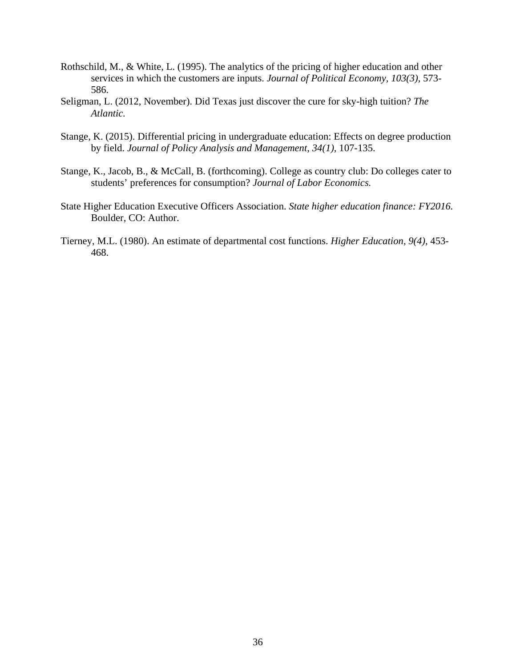- Rothschild, M., & White, L. (1995). The analytics of the pricing of higher education and other services in which the customers are inputs. *Journal of Political Economy, 103(3),* 573- 586.
- Seligman, L. (2012, November). Did Texas just discover the cure for sky-high tuition? *The Atlantic.*
- Stange, K. (2015). Differential pricing in undergraduate education: Effects on degree production by field. *Journal of Policy Analysis and Management, 34(1),* 107-135.
- Stange, K., Jacob, B., & McCall, B. (forthcoming). College as country club: Do colleges cater to students' preferences for consumption? *Journal of Labor Economics.*
- State Higher Education Executive Officers Association. *State higher education finance: FY2016.*  Boulder, CO: Author.
- Tierney, M.L. (1980). An estimate of departmental cost functions. *Higher Education, 9(4),* 453- 468.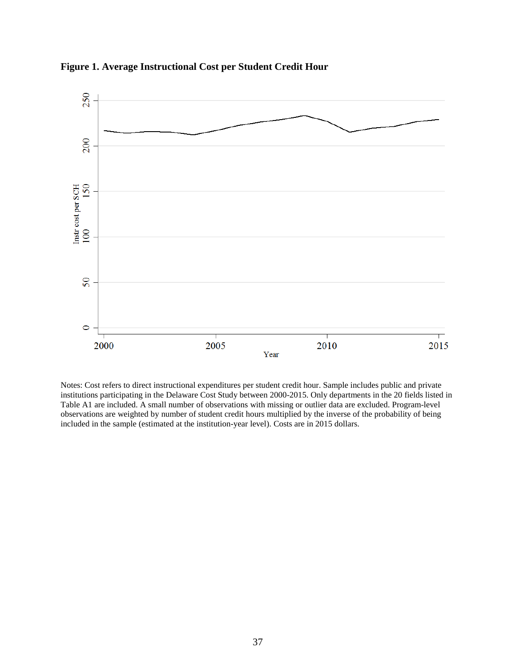

**Figure 1. Average Instructional Cost per Student Credit Hour**

Notes: Cost refers to direct instructional expenditures per student credit hour. Sample includes public and private institutions participating in the Delaware Cost Study between 2000-2015. Only departments in the 20 fields listed in Table A1 are included. A small number of observations with missing or outlier data are excluded. Program-level observations are weighted by number of student credit hours multiplied by the inverse of the probability of being included in the sample (estimated at the institution-year level). Costs are in 2015 dollars.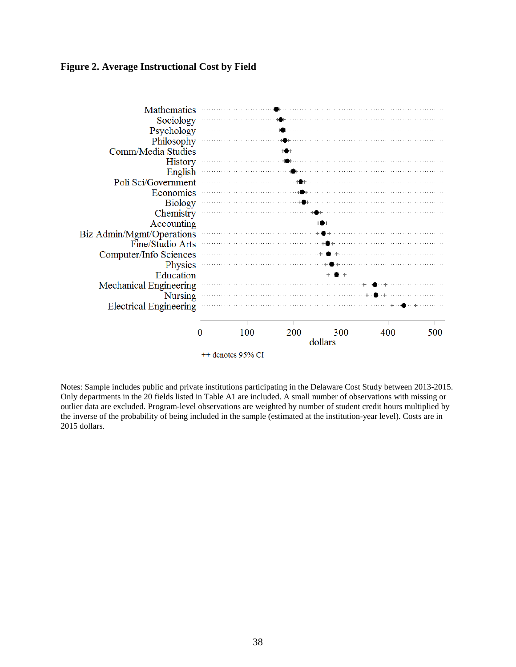### **Figure 2. Average Instructional Cost by Field**



Notes: Sample includes public and private institutions participating in the Delaware Cost Study between 2013-2015. Only departments in the 20 fields listed in Table A1 are included. A small number of observations with missing or outlier data are excluded. Program-level observations are weighted by number of student credit hours multiplied by the inverse of the probability of being included in the sample (estimated at the institution-year level). Costs are in 2015 dollars.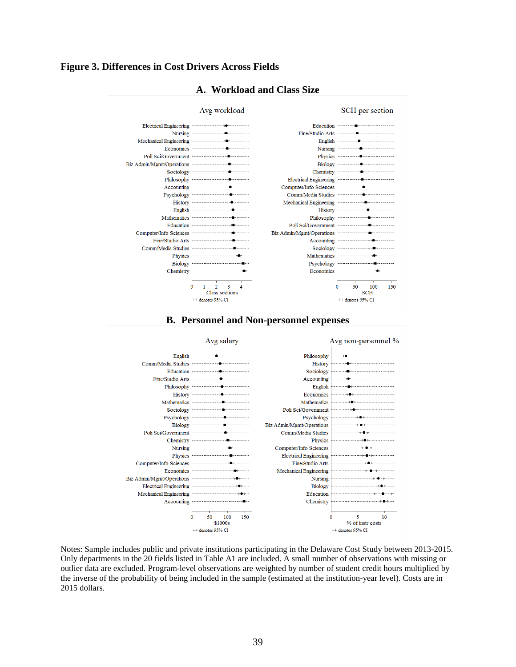### **Figure 3. Differences in Cost Drivers Across Fields**



## **A. Workload and Class Size**





Notes: Sample includes public and private institutions participating in the Delaware Cost Study between 2013-2015. Only departments in the 20 fields listed in Table A1 are included. A small number of observations with missing or outlier data are excluded. Program-level observations are weighted by number of student credit hours multiplied by the inverse of the probability of being included in the sample (estimated at the institution-year level). Costs are in 2015 dollars.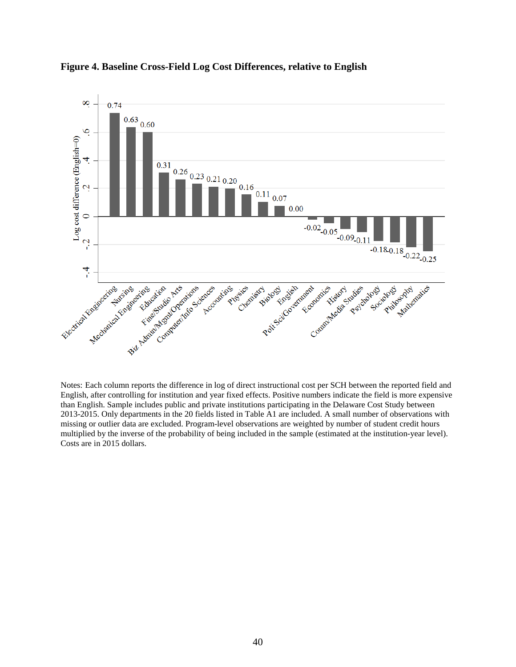

**Figure 4. Baseline Cross-Field Log Cost Differences, relative to English** 

Notes: Each column reports the difference in log of direct instructional cost per SCH between the reported field and English, after controlling for institution and year fixed effects. Positive numbers indicate the field is more expensive than English. Sample includes public and private institutions participating in the Delaware Cost Study between 2013-2015. Only departments in the 20 fields listed in Table A1 are included. A small number of observations with missing or outlier data are excluded. Program-level observations are weighted by number of student credit hours multiplied by the inverse of the probability of being included in the sample (estimated at the institution-year level). Costs are in 2015 dollars.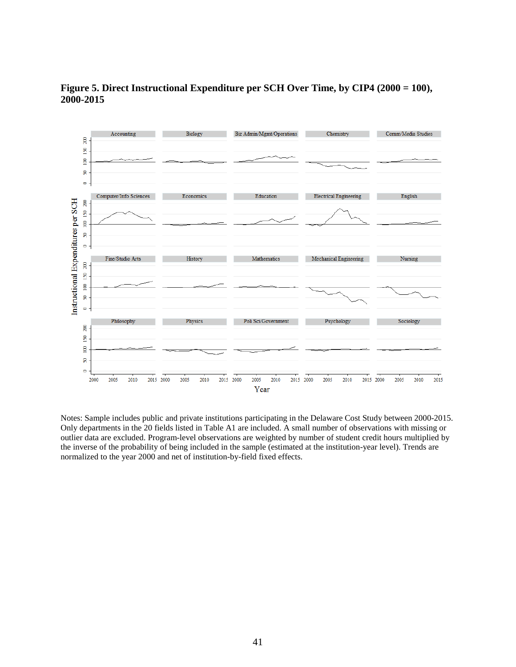

**Figure 5. Direct Instructional Expenditure per SCH Over Time, by CIP4 (2000 = 100), 2000-2015** 

Notes: Sample includes public and private institutions participating in the Delaware Cost Study between 2000-2015. Only departments in the 20 fields listed in Table A1 are included. A small number of observations with missing or outlier data are excluded. Program-level observations are weighted by number of student credit hours multiplied by the inverse of the probability of being included in the sample (estimated at the institution-year level). Trends are normalized to the year 2000 and net of institution-by-field fixed effects.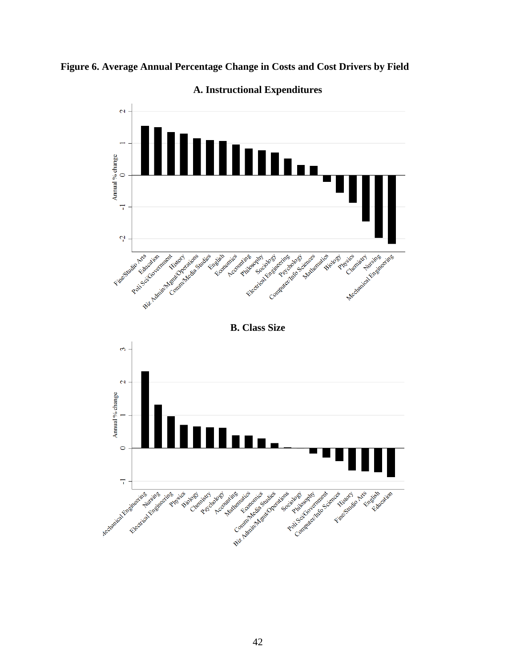



**A. Instructional Expenditures**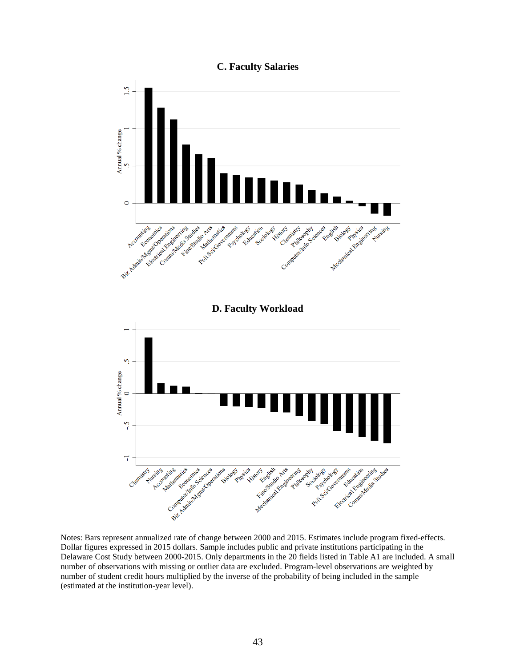**C. Faculty Salaries** 



Notes: Bars represent annualized rate of change between 2000 and 2015. Estimates include program fixed-effects. Dollar figures expressed in 2015 dollars. Sample includes public and private institutions participating in the Delaware Cost Study between 2000-2015. Only departments in the 20 fields listed in Table A1 are included. A small number of observations with missing or outlier data are excluded. Program-level observations are weighted by number of student credit hours multiplied by the inverse of the probability of being included in the sample (estimated at the institution-year level).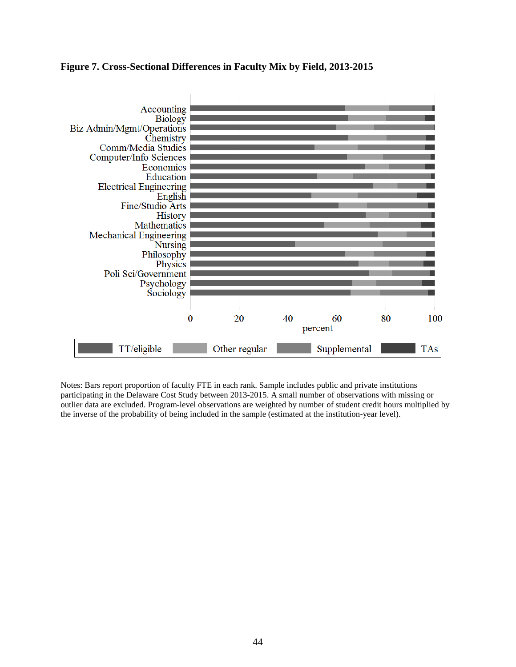## **Figure 7. Cross-Sectional Differences in Faculty Mix by Field, 2013-2015**



Notes: Bars report proportion of faculty FTE in each rank. Sample includes public and private institutions participating in the Delaware Cost Study between 2013-2015. A small number of observations with missing or outlier data are excluded. Program-level observations are weighted by number of student credit hours multiplied by the inverse of the probability of being included in the sample (estimated at the institution-year level).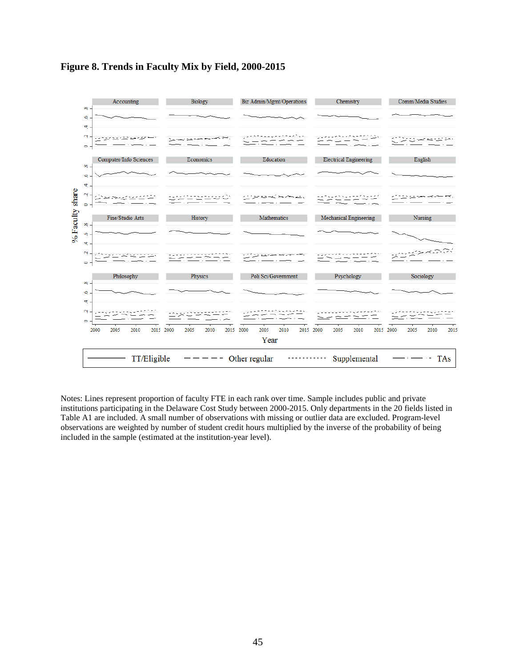

## **Figure 8. Trends in Faculty Mix by Field, 2000-2015**

Notes: Lines represent proportion of faculty FTE in each rank over time. Sample includes public and private institutions participating in the Delaware Cost Study between 2000-2015. Only departments in the 20 fields listed in Table A1 are included. A small number of observations with missing or outlier data are excluded. Program-level observations are weighted by number of student credit hours multiplied by the inverse of the probability of being included in the sample (estimated at the institution-year level).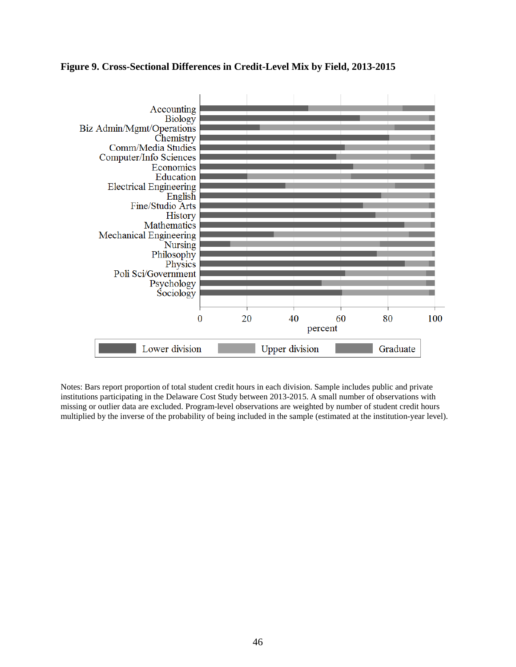## **Figure 9. Cross-Sectional Differences in Credit-Level Mix by Field, 2013-2015**



Notes: Bars report proportion of total student credit hours in each division. Sample includes public and private institutions participating in the Delaware Cost Study between 2013-2015. A small number of observations with missing or outlier data are excluded. Program-level observations are weighted by number of student credit hours multiplied by the inverse of the probability of being included in the sample (estimated at the institution-year level).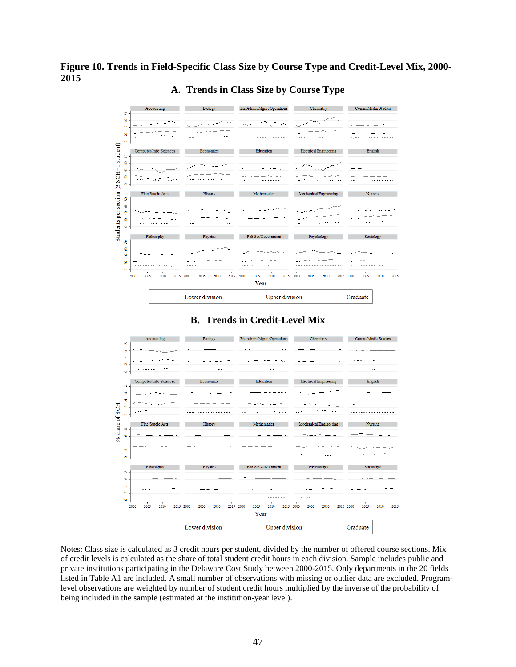## **Figure 10. Trends in Field-Specific Class Size by Course Type and Credit-Level Mix, 2000- 2015**



## **A. Trends in Class Size by Course Type**

## **B. Trends in Credit-Level Mix**



Notes: Class size is calculated as 3 credit hours per student, divided by the number of offered course sections. Mix of credit levels is calculated as the share of total student credit hours in each division. Sample includes public and private institutions participating in the Delaware Cost Study between 2000-2015. Only departments in the 20 fields listed in Table A1 are included. A small number of observations with missing or outlier data are excluded. Programlevel observations are weighted by number of student credit hours multiplied by the inverse of the probability of being included in the sample (estimated at the institution-year level).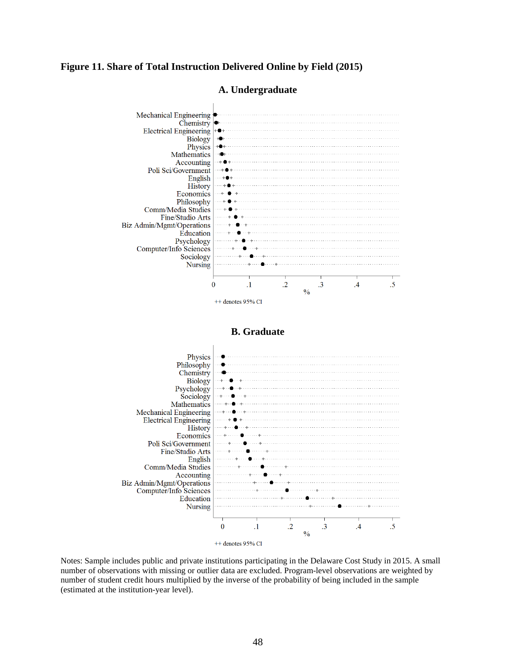### **Figure 11. Share of Total Instruction Delivered Online by Field (2015)**



## **A. Undergraduate**



Notes: Sample includes public and private institutions participating in the Delaware Cost Study in 2015. A small number of observations with missing or outlier data are excluded. Program-level observations are weighted by number of student credit hours multiplied by the inverse of the probability of being included in the sample (estimated at the institution-year level).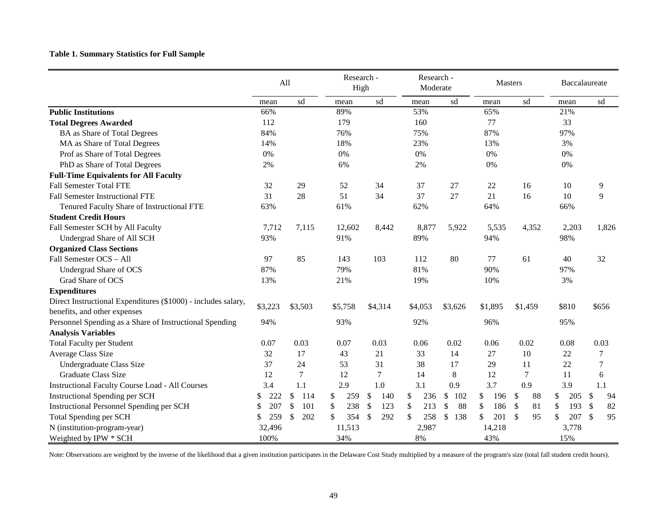# **Table 1. Summary Statistics for Full Sample**

|                                                               | All     |           | Research -<br>High |                     | Research -<br>Moderate |           | <b>Masters</b>       |          | Baccalaureate |                                 |
|---------------------------------------------------------------|---------|-----------|--------------------|---------------------|------------------------|-----------|----------------------|----------|---------------|---------------------------------|
|                                                               | mean    | sd        | mean               | sd                  | mean                   | sd        | mean                 | sd       | mean          | sd                              |
| <b>Public Institutions</b>                                    | 66%     |           | 89%                |                     | 53%                    |           | 65%                  |          | 21%           |                                 |
| <b>Total Degrees Awarded</b>                                  | 112     |           | 179                |                     | 160                    |           | 77                   |          | 33            |                                 |
| <b>BA</b> as Share of Total Degrees                           | 84%     |           | 76%                |                     | 75%                    |           | 87%                  |          | 97%           |                                 |
| MA as Share of Total Degrees                                  | 14%     |           | 18%                |                     | 23%                    |           | 13%                  |          | 3%            |                                 |
| Prof as Share of Total Degrees                                | 0%      |           | 0%                 |                     | 0%                     |           | 0%                   |          | 0%            |                                 |
| PhD as Share of Total Degrees                                 | 2%      |           | 6%                 |                     | 2%                     |           | $0\%$                |          | 0%            |                                 |
| <b>Full-Time Equivalents for All Faculty</b>                  |         |           |                    |                     |                        |           |                      |          |               |                                 |
| <b>Fall Semester Total FTE</b>                                | 32      | 29        | 52                 | 34                  | 37                     | 27        | 22                   | 16       | 10            | 9                               |
| <b>Fall Semester Instructional FTE</b>                        | 31      | 28        | 51                 | 34                  | 37                     | 27        | 21                   | 16       | 10            | 9                               |
| Tenured Faculty Share of Instructional FTE                    | 63%     |           | 61%                |                     | 62%                    |           | 64%                  |          | 66%           |                                 |
| <b>Student Credit Hours</b>                                   |         |           |                    |                     |                        |           |                      |          |               |                                 |
| Fall Semester SCH by All Faculty                              | 7,712   | 7,115     | 12,602             | 8,442               | 8,877                  | 5,922     | 5,535                | 4,352    | 2,203         | 1,826                           |
| Undergrad Share of All SCH                                    | 93%     |           | 91%                |                     | 89%                    |           | 94%                  |          | 98%           |                                 |
| <b>Organized Class Sections</b>                               |         |           |                    |                     |                        |           |                      |          |               |                                 |
| Fall Semester OCS - All                                       | 97      | 85        | 143                | 103                 | 112                    | 80        | 77                   | 61       | 40            | 32                              |
| Undergrad Share of OCS                                        | 87%     |           | 79%                |                     | 81%                    |           | 90%                  |          | 97%           |                                 |
| Grad Share of OCS                                             | 13%     |           | 21%                |                     | 19%                    |           | 10%                  |          | 3%            |                                 |
| <b>Expenditures</b>                                           |         |           |                    |                     |                        |           |                      |          |               |                                 |
| Direct Instructional Expenditures (\$1000) - includes salary, |         |           |                    |                     |                        |           |                      |          |               |                                 |
| benefits, and other expenses                                  | \$3,223 | \$3,503   | \$5,758            | \$4,314             | \$4,053                | \$3,626   | \$1,895              | \$1,459  | \$810         | \$656                           |
| Personnel Spending as a Share of Instructional Spending       | 94%     |           | 93%                |                     | 92%                    |           | 96%                  |          | 95%           |                                 |
| <b>Analysis Variables</b>                                     |         |           |                    |                     |                        |           |                      |          |               |                                 |
| <b>Total Faculty per Student</b>                              | 0.07    | 0.03      | 0.07               | 0.03                | 0.06                   | 0.02      | 0.06                 | 0.02     | 0.08          | 0.03                            |
| <b>Average Class Size</b>                                     | 32      | 17        | 43                 | 21                  | 33                     | 14        | 27                   | 10       | 22            | $\overline{7}$                  |
| Undergraduate Class Size                                      | 37      | 24        | 53                 | 31                  | 38                     | 17        | 29                   | 11       | 22            | $\overline{7}$                  |
| <b>Graduate Class Size</b>                                    | 12      | $\tau$    | 12                 | $\tau$              | 14                     | 8         | 12                   | $\tau$   | <b>11</b>     | 6                               |
| <b>Instructional Faculty Course Load - All Courses</b>        | 3.4     | 1.1       | 2.9                | 1.0                 | 3.1                    | 0.9       | 3.7                  | 0.9      | 3.9           | 1.1                             |
| <b>Instructional Spending per SCH</b>                         | 222     | \$<br>114 | \$<br>259          | 140<br>\$           | 236<br>\$              | \$<br>102 | \$<br>196            | \$<br>88 | 205<br>\$     | \$<br>94                        |
| <b>Instructional Personnel Spending per SCH</b>               | 207     | \$<br>101 | 238<br>S           | 123<br>\$           | 213<br>\$              | 88<br>\$  | 186<br><sup>\$</sup> | 81<br>S  | 193<br>S      | 82<br>$\boldsymbol{\mathsf{S}}$ |
| Total Spending per SCH                                        | 259     | \$<br>202 | 354                | 292<br>$\mathbb{S}$ | 258<br>S               | 138<br>\$ | 201                  | \$<br>95 | 207           | 95<br>\$                        |
| N (institution-program-year)                                  | 32,496  |           | 11,513             |                     | 2,987                  |           | 14,218               |          | 3,778         |                                 |
| Weighted by IPW * SCH                                         | 100%    |           | 34%                |                     | 8%                     |           | 43%                  |          | 15%           |                                 |

Note: Observations are weighted by the inverse of the likelihood that a given institution participates in the Delaware Cost Study multiplied by a measure of the program's size (total fall student credit hours).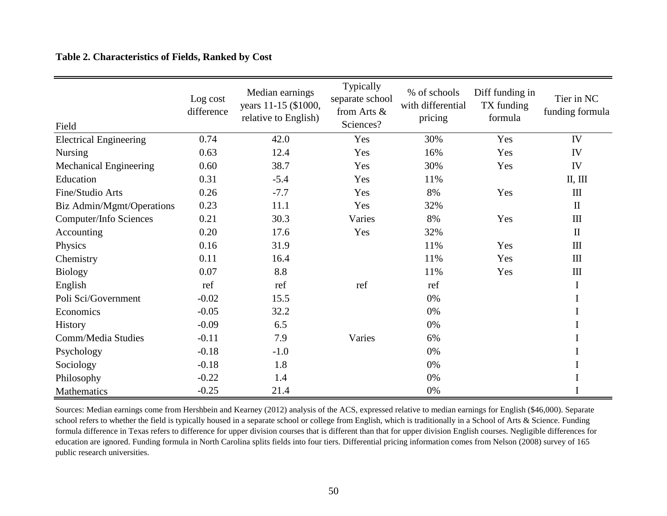## **Table 2. Characteristics of Fields, Ranked by Cost**

| Field                         | Log cost<br>difference | Median earnings<br>years 11-15 (\$1000,<br>relative to English) | Typically<br>separate school<br>from Arts &<br>Sciences? | % of schools<br>with differential<br>pricing | Diff funding in<br>TX funding<br>formula | Tier in NC<br>funding formula    |
|-------------------------------|------------------------|-----------------------------------------------------------------|----------------------------------------------------------|----------------------------------------------|------------------------------------------|----------------------------------|
| <b>Electrical Engineering</b> | 0.74                   | 42.0                                                            | Yes                                                      | 30%                                          | Yes                                      | IV                               |
| <b>Nursing</b>                | 0.63                   | 12.4                                                            | Yes                                                      | 16%                                          | Yes                                      | IV                               |
| <b>Mechanical Engineering</b> | 0.60                   | 38.7                                                            | Yes                                                      | 30%                                          | Yes                                      | IV                               |
| Education                     | 0.31                   | $-5.4$                                                          | Yes                                                      | 11%                                          |                                          | II, III                          |
| Fine/Studio Arts              | 0.26                   | $-7.7$                                                          | Yes                                                      | 8%                                           | Yes                                      | $\mathop{\mathrm{III}}\nolimits$ |
| Biz Admin/Mgmt/Operations     | 0.23                   | 11.1                                                            | Yes                                                      | 32%                                          |                                          | $\rm II$                         |
| Computer/Info Sciences        | 0.21                   | 30.3                                                            | Varies                                                   | 8%                                           | Yes                                      | III                              |
| Accounting                    | 0.20                   | 17.6                                                            | Yes                                                      | 32%                                          |                                          | $\rm II$                         |
| Physics                       | 0.16                   | 31.9                                                            |                                                          | 11%                                          | Yes                                      | $\mathop{\rm III}$               |
| Chemistry                     | 0.11                   | 16.4                                                            |                                                          | 11%                                          | Yes                                      | $\rm III$                        |
| <b>Biology</b>                | 0.07                   | 8.8                                                             |                                                          | 11%                                          | Yes                                      | $\mathop{\rm III}$               |
| English                       | ref                    | ref                                                             | ref                                                      | ref                                          |                                          | $\bf{I}$                         |
| Poli Sci/Government           | $-0.02$                | 15.5                                                            |                                                          | 0%                                           |                                          | $\mathbf I$                      |
| Economics                     | $-0.05$                | 32.2                                                            |                                                          | 0%                                           |                                          | I                                |
| History                       | $-0.09$                | 6.5                                                             |                                                          | 0%                                           |                                          | I                                |
| Comm/Media Studies            | $-0.11$                | 7.9                                                             | Varies                                                   | 6%                                           |                                          | I                                |
| Psychology                    | $-0.18$                | $-1.0$                                                          |                                                          | 0%                                           |                                          | I                                |
| Sociology                     | $-0.18$                | 1.8                                                             |                                                          | 0%                                           |                                          | I                                |
| Philosophy                    | $-0.22$                | 1.4                                                             |                                                          | 0%                                           |                                          | I                                |
| Mathematics                   | $-0.25$                | 21.4                                                            |                                                          | $0\%$                                        |                                          | I                                |

Sources: Median earnings come from Hershbein and Kearney (2012) analysis of the ACS, expressed relative to median earnings for English (\$46,000). Separate school refers to whether the field is typically housed in a separate school or college from English, which is traditionally in a School of Arts & Science. Funding formula difference in Texas refers to difference for upper division courses that is different than that for upper division English courses. Negligible differences for education are ignored. Funding formula in North Carolina splits fields into four tiers. Differential pricing information comes from Nelson (2008) survey of 165 public research universities.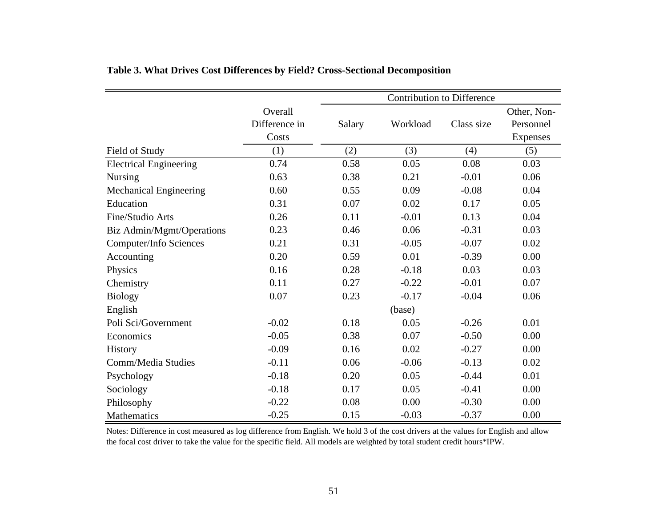|                               |               | <b>Contribution to Difference</b> |          |            |             |  |  |
|-------------------------------|---------------|-----------------------------------|----------|------------|-------------|--|--|
|                               | Overall       |                                   |          |            | Other, Non- |  |  |
|                               | Difference in | Salary                            | Workload | Class size | Personnel   |  |  |
|                               | Costs         |                                   |          |            | Expenses    |  |  |
| Field of Study                | (1)           | (2)                               | (3)      | (4)        | (5)         |  |  |
| <b>Electrical Engineering</b> | 0.74          | 0.58                              | 0.05     | 0.08       | 0.03        |  |  |
| <b>Nursing</b>                | 0.63          | 0.38                              | 0.21     | $-0.01$    | 0.06        |  |  |
| Mechanical Engineering        | 0.60          | 0.55                              | 0.09     | $-0.08$    | 0.04        |  |  |
| Education                     | 0.31          | 0.07                              | 0.02     | 0.17       | 0.05        |  |  |
| Fine/Studio Arts              | 0.26          | 0.11                              | $-0.01$  | 0.13       | 0.04        |  |  |
| Biz Admin/Mgmt/Operations     | 0.23          | 0.46                              | 0.06     | $-0.31$    | 0.03        |  |  |
| Computer/Info Sciences        | 0.21          | 0.31                              | $-0.05$  | $-0.07$    | 0.02        |  |  |
| Accounting                    | 0.20          | 0.59                              | 0.01     | $-0.39$    | 0.00        |  |  |
| Physics                       | 0.16          | 0.28                              | $-0.18$  | 0.03       | 0.03        |  |  |
| Chemistry                     | 0.11          | 0.27                              | $-0.22$  | $-0.01$    | 0.07        |  |  |
| <b>Biology</b>                | 0.07          | 0.23                              | $-0.17$  | $-0.04$    | 0.06        |  |  |
| English                       |               |                                   | (base)   |            |             |  |  |
| Poli Sci/Government           | $-0.02$       | 0.18                              | 0.05     | $-0.26$    | 0.01        |  |  |
| Economics                     | $-0.05$       | 0.38                              | 0.07     | $-0.50$    | 0.00        |  |  |
| <b>History</b>                | $-0.09$       | 0.16                              | 0.02     | $-0.27$    | 0.00        |  |  |
| Comm/Media Studies            | $-0.11$       | 0.06                              | $-0.06$  | $-0.13$    | 0.02        |  |  |
| Psychology                    | $-0.18$       | 0.20                              | 0.05     | $-0.44$    | 0.01        |  |  |
| Sociology                     | $-0.18$       | 0.17                              | 0.05     | $-0.41$    | 0.00        |  |  |
| Philosophy                    | $-0.22$       | 0.08                              | 0.00     | $-0.30$    | 0.00        |  |  |
| <b>Mathematics</b>            | $-0.25$       | 0.15                              | $-0.03$  | $-0.37$    | 0.00        |  |  |

# **Table 3. What Drives Cost Differences by Field? Cross-Sectional Decomposition**

Notes: Difference in cost measured as log difference from English. We hold 3 of the cost drivers at the values for English and allow the focal cost driver to take the value for the specific field. All models are weighted by total student credit hours\*IPW.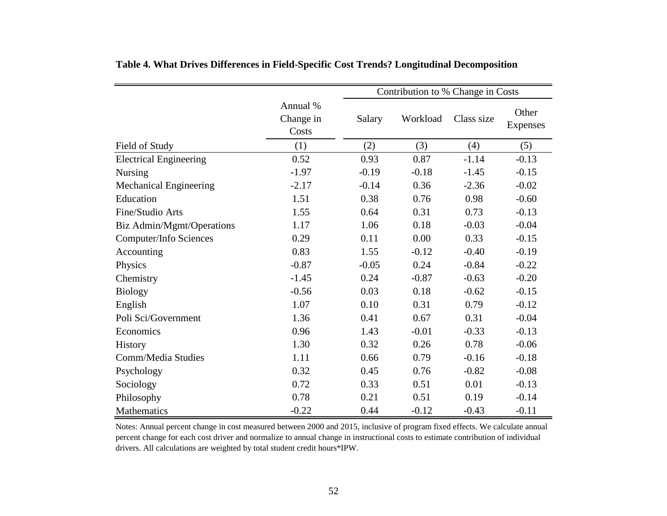|                               |                                | Contribution to % Change in Costs |          |            |                   |  |  |  |
|-------------------------------|--------------------------------|-----------------------------------|----------|------------|-------------------|--|--|--|
|                               | Annual %<br>Change in<br>Costs | Salary                            | Workload | Class size | Other<br>Expenses |  |  |  |
| Field of Study                | (1)                            | (2)                               | (3)      | (4)        | (5)               |  |  |  |
| <b>Electrical Engineering</b> | 0.52                           | 0.93                              | 0.87     | $-1.14$    | $-0.13$           |  |  |  |
| <b>Nursing</b>                | $-1.97$                        | $-0.19$                           | $-0.18$  | $-1.45$    | $-0.15$           |  |  |  |
| <b>Mechanical Engineering</b> | $-2.17$                        | $-0.14$                           | 0.36     | $-2.36$    | $-0.02$           |  |  |  |
| Education                     | 1.51                           | 0.38                              | 0.76     | 0.98       | $-0.60$           |  |  |  |
| Fine/Studio Arts              | 1.55                           | 0.64                              | 0.31     | 0.73       | $-0.13$           |  |  |  |
| Biz Admin/Mgmt/Operations     | 1.17                           | 1.06                              | 0.18     | $-0.03$    | $-0.04$           |  |  |  |
| <b>Computer/Info Sciences</b> | 0.29                           | 0.11                              | 0.00     | 0.33       | $-0.15$           |  |  |  |
| Accounting                    | 0.83                           | 1.55                              | $-0.12$  | $-0.40$    | $-0.19$           |  |  |  |
| Physics                       | $-0.87$                        | $-0.05$                           | 0.24     | $-0.84$    | $-0.22$           |  |  |  |
| Chemistry                     | $-1.45$                        | 0.24                              | $-0.87$  | $-0.63$    | $-0.20$           |  |  |  |
| <b>Biology</b>                | $-0.56$                        | 0.03                              | 0.18     | $-0.62$    | $-0.15$           |  |  |  |
| English                       | 1.07                           | 0.10                              | 0.31     | 0.79       | $-0.12$           |  |  |  |
| Poli Sci/Government           | 1.36                           | 0.41                              | 0.67     | 0.31       | $-0.04$           |  |  |  |
| Economics                     | 0.96                           | 1.43                              | $-0.01$  | $-0.33$    | $-0.13$           |  |  |  |
| <b>History</b>                | 1.30                           | 0.32                              | 0.26     | 0.78       | $-0.06$           |  |  |  |
| Comm/Media Studies            | 1.11                           | 0.66                              | 0.79     | $-0.16$    | $-0.18$           |  |  |  |
| Psychology                    | 0.32                           | 0.45                              | 0.76     | $-0.82$    | $-0.08$           |  |  |  |
| Sociology                     | 0.72                           | 0.33                              | 0.51     | 0.01       | $-0.13$           |  |  |  |
| Philosophy                    | 0.78                           | 0.21                              | 0.51     | 0.19       | $-0.14$           |  |  |  |
| <b>Mathematics</b>            | $-0.22$                        | 0.44                              | $-0.12$  | $-0.43$    | $-0.11$           |  |  |  |

**Table 4. What Drives Differences in Field-Specific Cost Trends? Longitudinal Decomposition**

Notes: Annual percent change in cost measured between 2000 and 2015, inclusive of program fixed effects. We calculate annual percent change for each cost driver and normalize to annual change in instructional costs to estimate contribution of individual drivers. All calculations are weighted by total student credit hours\*IPW.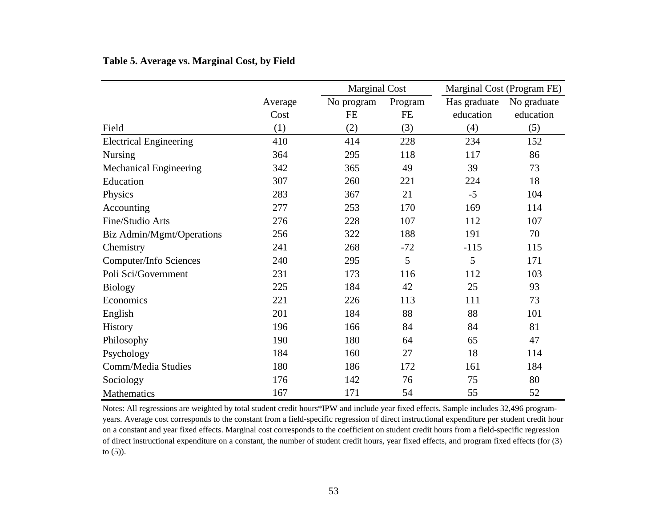## **Table 5. Average vs. Marginal Cost, by Field**

|                               |         |            | <b>Marginal Cost</b> |              | Marginal Cost (Program FE) |
|-------------------------------|---------|------------|----------------------|--------------|----------------------------|
|                               | Average | No program | Program              | Has graduate | No graduate                |
|                               | Cost    | <b>FE</b>  | FE                   | education    | education                  |
| Field                         | (1)     | (2)        | (3)                  | (4)          | (5)                        |
| <b>Electrical Engineering</b> | 410     | 414        | 228                  | 234          | 152                        |
| <b>Nursing</b>                | 364     | 295        | 118                  | 117          | 86                         |
| <b>Mechanical Engineering</b> | 342     | 365        | 49                   | 39           | 73                         |
| Education                     | 307     | 260        | 221                  | 224          | 18                         |
| Physics                       | 283     | 367        | 21                   | $-5$         | 104                        |
| Accounting                    | 277     | 253        | 170                  | 169          | 114                        |
| Fine/Studio Arts              | 276     | 228        | 107                  | 112          | 107                        |
| Biz Admin/Mgmt/Operations     | 256     | 322        | 188                  | 191          | 70                         |
| Chemistry                     | 241     | 268        | $-72$                | $-115$       | 115                        |
| Computer/Info Sciences        | 240     | 295        | 5                    | 5            | 171                        |
| Poli Sci/Government           | 231     | 173        | 116                  | 112          | 103                        |
| <b>Biology</b>                | 225     | 184        | 42                   | 25           | 93                         |
| Economics                     | 221     | 226        | 113                  | 111          | 73                         |
| English                       | 201     | 184        | 88                   | 88           | 101                        |
| History                       | 196     | 166        | 84                   | 84           | 81                         |
| Philosophy                    | 190     | 180        | 64                   | 65           | 47                         |
| Psychology                    | 184     | 160        | 27                   | 18           | 114                        |
| Comm/Media Studies            | 180     | 186        | 172                  | 161          | 184                        |
| Sociology                     | 176     | 142        | 76                   | 75           | 80                         |
| <b>Mathematics</b>            | 167     | 171        | 54                   | 55           | 52                         |

Notes: All regressions are weighted by total student credit hours\*IPW and include year fixed effects. Sample includes 32,496 programyears. Average cost corresponds to the constant from a field-specific regression of direct instructional expenditure per student credit hour on a constant and year fixed effects. Marginal cost corresponds to the coefficient on student credit hours from a field-specific regression of direct instructional expenditure on a constant, the number of student credit hours, year fixed effects, and program fixed effects (for (3) to (5)).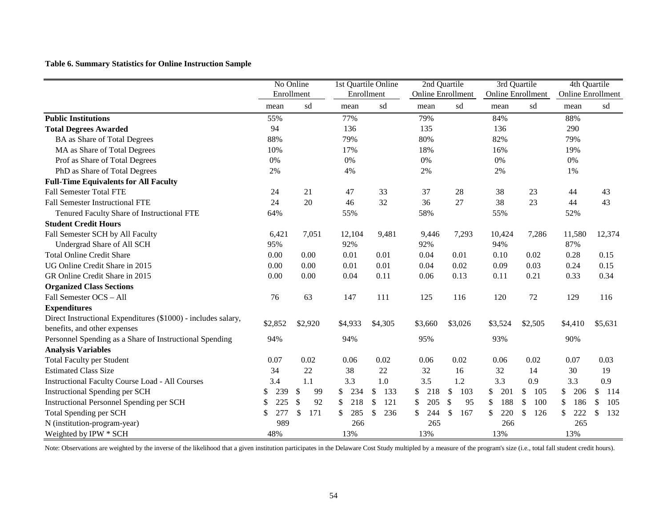**Table 6. Summary Statistics for Online Instruction Sample**

|                                                                                               | No Online<br>Enrollment |                                 |            | 1st Quartile Online  |                          | 2nd Quartile | 3rd Quartile             |                 | 4th Quartile             |           |
|-----------------------------------------------------------------------------------------------|-------------------------|---------------------------------|------------|----------------------|--------------------------|--------------|--------------------------|-----------------|--------------------------|-----------|
|                                                                                               |                         |                                 | Enrollment |                      | <b>Online Enrollment</b> |              | <b>Online Enrollment</b> |                 | <b>Online Enrollment</b> |           |
|                                                                                               | mean                    | sd                              | mean       | sd                   | mean                     | sd           | mean                     | sd              | mean                     | sd        |
| <b>Public Institutions</b>                                                                    | 55%                     |                                 | 77%        |                      | 79%                      |              | 84%                      |                 | 88%                      |           |
| <b>Total Degrees Awarded</b>                                                                  | 94                      |                                 | 136        |                      | 135                      |              | 136                      |                 | 290                      |           |
| <b>BA</b> as Share of Total Degrees                                                           | 88%                     |                                 | 79%        |                      | 80%                      |              | 82%                      |                 | 79%                      |           |
| MA as Share of Total Degrees                                                                  | 10%                     |                                 | 17%        |                      | 18%                      |              | 16%                      |                 | 19%                      |           |
| Prof as Share of Total Degrees                                                                | 0%                      |                                 | 0%         |                      | 0%                       |              | 0%                       |                 | $0\%$                    |           |
| PhD as Share of Total Degrees                                                                 | 2%                      |                                 | 4%         |                      | 2%                       |              | 2%                       |                 | 1%                       |           |
| <b>Full-Time Equivalents for All Faculty</b>                                                  |                         |                                 |            |                      |                          |              |                          |                 |                          |           |
| <b>Fall Semester Total FTE</b>                                                                | 24                      | 21                              | 47         | 33                   | 37                       | 28           | 38                       | 23              | 44                       | 43        |
| <b>Fall Semester Instructional FTE</b>                                                        | 24                      | 20                              | 46         | 32                   | 36                       | 27           | 38                       | 23              | 44                       | 43        |
| Tenured Faculty Share of Instructional FTE                                                    | 64%                     |                                 | 55%        |                      | 58%                      |              | 55%                      |                 | 52%                      |           |
| <b>Student Credit Hours</b>                                                                   |                         |                                 |            |                      |                          |              |                          |                 |                          |           |
| Fall Semester SCH by All Faculty                                                              | 6,421                   | 7,051                           | 12,104     | 9,481                | 9,446                    | 7,293        | 10,424                   | 7,286           | 11,580                   | 12,374    |
| Undergrad Share of All SCH                                                                    | 95%                     |                                 | 92%        |                      | 92%                      |              | 94%                      |                 | 87%                      |           |
| <b>Total Online Credit Share</b>                                                              | 0.00                    | 0.00                            | 0.01       | 0.01                 | 0.04                     | 0.01         | 0.10                     | 0.02            | 0.28                     | 0.15      |
| UG Online Credit Share in 2015                                                                | 0.00                    | 0.00                            | 0.01       | 0.01                 | 0.04                     | 0.02         | 0.09                     | 0.03            | 0.24                     | 0.15      |
| GR Online Credit Share in 2015                                                                | 0.00                    | 0.00                            | 0.04       | 0.11                 | 0.06                     | 0.13         | 0.11                     | 0.21            | 0.33                     | 0.34      |
| <b>Organized Class Sections</b>                                                               |                         |                                 |            |                      |                          |              |                          |                 |                          |           |
| Fall Semester OCS - All                                                                       | 76                      | 63                              | 147        | 111                  | 125                      | 116          | 120                      | 72              | 129                      | 116       |
| <b>Expenditures</b>                                                                           |                         |                                 |            |                      |                          |              |                          |                 |                          |           |
| Direct Instructional Expenditures (\$1000) - includes salary,<br>benefits, and other expenses | \$2,852                 | \$2,920                         | \$4,933    | \$4,305              | \$3,660                  | \$3,026      | \$3,524                  | \$2,505         | \$4,410                  | \$5,631   |
| Personnel Spending as a Share of Instructional Spending                                       | 94%                     |                                 | 94%        |                      | 95%                      |              | 93%                      |                 | 90%                      |           |
| <b>Analysis Variables</b>                                                                     |                         |                                 |            |                      |                          |              |                          |                 |                          |           |
| <b>Total Faculty per Student</b>                                                              | 0.07                    | 0.02                            | 0.06       | 0.02                 | 0.06                     | 0.02         | 0.06                     | 0.02            | 0.07                     | 0.03      |
| <b>Estimated Class Size</b>                                                                   | 34                      | 22                              | 38         | 22                   | 32                       | 16           | 32                       | 14              | 30                       | 19        |
| <b>Instructional Faculty Course Load - All Courses</b>                                        | 3.4                     | 1.1                             | 3.3        | 1.0                  | 3.5                      | 1.2          | 3.3                      | 0.9             | 3.3                      | 0.9       |
| <b>Instructional Spending per SCH</b>                                                         | 239                     | $\boldsymbol{\mathsf{S}}$<br>99 | 234        | $\sqrt{3}$<br>133    | 218                      | \$<br>103    | \$<br>201                | \$<br>105       | 206                      | \$<br>114 |
| <b>Instructional Personnel Spending per SCH</b>                                               | 225                     | 92<br><sup>\$</sup>             | 218<br>S   | \$<br>121            | \$<br>205                | \$<br>95     | 188<br>\$                | 100<br>\$       | \$<br>186                | 105<br>\$ |
| <b>Total Spending per SCH</b>                                                                 | 277                     | 171                             | 285        | 236<br>$\mathcal{S}$ | \$<br>244                | 167          | 220                      | 126<br><b>S</b> | 222                      | 132<br>\$ |
| N (institution-program-year)                                                                  | 989                     |                                 | 266        |                      | 265                      |              | 266                      |                 | 265                      |           |
| Weighted by IPW * SCH                                                                         | 48%                     |                                 | 13%        |                      | 13%                      |              | 13%                      |                 | 13%                      |           |

Note: Observations are weighted by the inverse of the likelihood that a given institution participates in the Delaware Cost Study multipled by a measure of the program's size (i.e., total fall student credit hours).